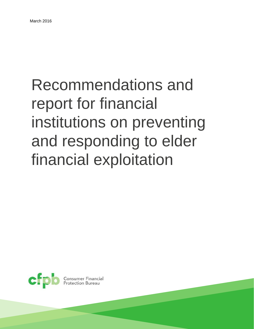# Recommendations and report for financial institutions on preventing and responding to elder financial exploitation



**Consumer Financial**<br>Protection Bureau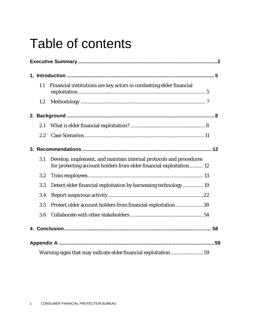# Table of contents

|  | 1.1 | Financial institutions are key actors in combatting elder financial                                                                       |
|--|-----|-------------------------------------------------------------------------------------------------------------------------------------------|
|  | 1.2 |                                                                                                                                           |
|  |     |                                                                                                                                           |
|  | 2.1 |                                                                                                                                           |
|  | 2.2 |                                                                                                                                           |
|  |     |                                                                                                                                           |
|  | 3.1 | Develop, implement, and maintain internal protocols and procedures<br>for protecting account holders from elder financial exploitation 12 |
|  | 3.2 |                                                                                                                                           |
|  | 3.3 | Detect elder financial exploitation by harnessing technology 19                                                                           |
|  | 3.4 |                                                                                                                                           |
|  | 3.5 | Protect older account holders from financial exploitation 38                                                                              |
|  | 3.6 |                                                                                                                                           |
|  |     |                                                                                                                                           |
|  |     |                                                                                                                                           |
|  |     | Warning signs that may indicate elder financial exploitation 59                                                                           |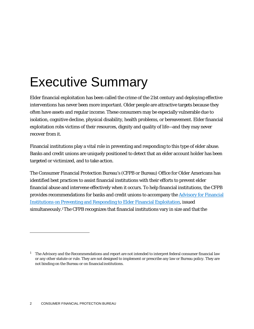# <span id="page-2-0"></span>Executive Summary

Elder financial exploitation has been called the crime of the 21st century and deploying effective interventions has never been more important. Older people are attractive targets because they often have assets and regular income. These consumers may be especially vulnerable due to isolation, cognitive decline, physical disability, health problems, or bereavement. Elder financial exploitation robs victims of their resources, dignity and quality of life—and they may never recover from it.

Financial institutions play a vital role in preventing and responding to this type of elder abuse. Banks and credit unions are uniquely positioned to detect that an elder account holder has been targeted or victimized, and to take action.

The Consumer Financial Protection Bureau's (CFPB or Bureau) Office for Older Americans has identified best practices to assist financial institutions with their efforts to prevent elder financial abuse and intervene effectively when it occurs. To help financial institutions, the CFPB provides recommendations for banks and credit unions to accompany the [Advisory for Financial](http://files.consumerfinance.gov/f/201603_cfpb_advisory-for-financial-institutions-on-preventing-and-responding-to-elder-financial-exploitation.pdf) [Institutions on Preventing and Responding to Elder Financial Exploitation,](http://files.consumerfinance.gov/f/201603_cfpb_advisory-for-financial-institutions-on-preventing-and-responding-to-elder-financial-exploitation.pdf) issued simultaneously.<sup>1</sup>The CFPB recognizes that financial institutions vary in size and that the

<span id="page-2-1"></span><sup>&</sup>lt;sup>1</sup> The Advisory and the Recommendations and report are not intended to interpret federal consumer financial law or any other statute or rule. They are not designed to implement or prescribe any law or Bureau policy. They are not binding on the Bureau or on financialinstitutions.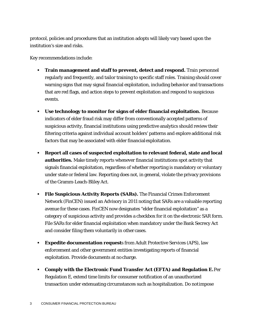protocol, policies and procedures that an institution adopts will likely vary based upon the institution's size and risks.

Key recommendations include:

- **Train management and staff to prevent, detect and respond.** Train personnel regularly and frequently, and tailor training to specific staff roles. Training should cover warning signs that may signal financial exploitation, including behavior and transactions that are red flags, and action steps to prevent exploitation and respond to suspicious events.
- **Use technology to monitor for signs of elder financial exploitation.** Because indicators of elder fraud risk may differ from conventionally accepted patterns of suspicious activity, financial institutions using predictive analytics should review their filtering criteria against individual account holders' patterns and explore additional risk factors that may be associated with elder financial exploitation.
- **Report all cases of suspected exploitation to relevant federal, state and local authorities.** Make timely reports whenever financial institutions spot activity that signals financial exploitation, regardless of whether reporting is mandatory or voluntary under state or federal law. Reporting does not, in general, violate the privacy provisions of the Gramm-Leach-Bliley Act.
- **File Suspicious Activity Reports (SARs).** The Financial Crimes Enforcement Network (FinCEN) issued an Advisory in 2011 noting that SARs are a valuable reporting avenue for these cases. FinCEN now designates "elder financial exploitation" as a category of suspicious activity and provides a checkbox for it on the electronic SAR form. File SARs for elder financial exploitation when mandatory under the Bank Secrecy Act and consider filing them voluntarily in other cases.
- **Expedite documentation requests** from Adult Protective Services (APS), law enforcement and other government entities investigating reports of financial exploitation. Provide documents at no charge.
- **Comply with the Electronic Fund Transfer Act (EFTA) and Regulation E.**Per Regulation E, extend time limits for consumer notification of an unauthorized transaction under extenuating circumstances such as hospitalization. Do notimpose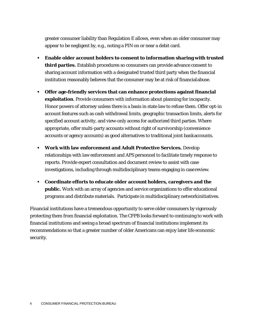greater consumer liability than Regulation E allows, even when an older consumer may appear to be negligent by, e.g., noting a PIN on or near a debit card.

- **Enable older account holders to consent to information sharing with trusted third parties.** Establish procedures so consumers can provide advance consent to sharing account information with a designated trusted third party when the financial institution reasonably believes that the consumer may be at risk of financialabuse.
- **Offer age-friendly services that can enhance protections against financial exploitation**. Provide consumers with information about planning for incapacity. Honor powers of attorney unless there is a basis in state law to refuse them. Offer opt-in account features such as cash withdrawal limits, geographic transaction limits, alerts for specified account activity, and view-only access for authorized third parties. Where appropriate, offer multi-party accounts without right of survivorship (convenience accounts or agency accounts) as good alternatives to traditional joint bankaccounts.
- **Work with law enforcement and Adult Protective Services.** Develop relationships with law enforcement and APS personnel to facilitate timely response to reports. Provide expert consultation and document review to assist with case investigations, including through multidisciplinary teams engaging in casereview.
- **Coordinate efforts to educate older account holders, caregivers and the public.** Work with an array of agencies and service organizations to offer educational programs and distribute materials. Participate in multidisciplinary networkinitiatives.

Financial institutions have a tremendous opportunity to serve older consumers by vigorously protecting them from financial exploitation. The CFPB looks forward to continuing to work with financial institutions and seeing a broad spectrum of financial institutions implement its recommendations so that a greater number of older Americans can enjoy later life economic security.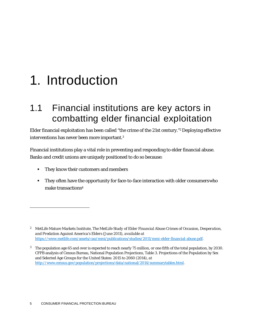# <span id="page-5-0"></span>1. Introduction

# <span id="page-5-1"></span>1.1 Financial institutions are key actors in combatting elder financial exploitation

Elder financial exploitation has been called "the crime of the 21st century."<sup>2</sup> Deploying effective interventions has never been more important[.3](#page-5-3)

Financial institutions play a vital role in preventing and responding to elder financial abuse. Banks and credit unions are uniquely positioned to do so because:

- They know their customers and members
- They often have the opportunity for face-to-face interaction with older consumerswho make transaction[s4](#page-5-2)

<span id="page-5-2"></span><sup>2</sup> MetLife Mature Markets Institute, *The MetLife Study of Elder Financial Abuse Crimes of Occasion, Desperation, and Predation Against America's Elders* (June 2011), *available at*  [https://www.metlife.com/assets/cao/mmi/publications/studies/2011/mmi-elder-financial-abuse.pdf.](https://www.metlife.com/assets/cao/mmi/publications/studies/2011/mmi-elder-financial-abuse.pdf)

<span id="page-5-3"></span><sup>3</sup> The population age 65 and over is expected to reach nearly 75 million, or one fifth of the total population, by 2030. CFPB analysis of Census Bureau, National Population Projections, Table 3. Projections of the Population by Sex and Selected Age Groups for the United States: 2015 to 2060 (2014), *at*  [http://www.census.gov/population/projections/data/national/2014/summarytables.html.](http://www.census.gov/population/projections/data/national/2014/summarytables.html)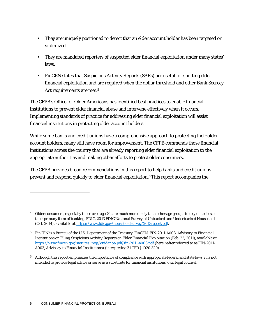- They are uniquely positioned to detect that an elder account holder has been targeted or victimized
- They are mandated reporters of suspected elder financial exploitation under many states' laws,
- FinCEN states that Suspicious Activity Reports (SARs) are useful for spotting elder financial exploitation and are required when the dollar threshold and other Bank Secrecy Act requirements are met[.5](#page-6-0)

The CFPB's Office for Older Americans has identified best practices to enable financial institutions to prevent elder financial abuse and intervene effectively when it occurs. Implementing standards of practice for addressing elder financial exploitation will assist financial institutions in protecting older account holders.

While some banks and credit unions have a comprehensive approach to protecting their older account holders, many still have room for improvement. The CFPB commends those financial institutions across the country that are already reporting elder financial exploitation to the appropriate authorities and making other efforts to protect older consumers.

The CFPB provides broad recommendations in this report to help banks and credit unions prevent and respond quickly to elder financial exploitation[.6T](#page-6-1)his report accompanies the

<span id="page-6-1"></span> $^6$  – Although this report emphasizes the importance of compliance with appropriate federal and state laws, it is not intended to provide legal advice or serve as a substitute for financial institutions' own legal counsel.

<sup>&</sup>lt;sup>4</sup> Older consumers, especially those over age 70, are much more likely than other age groups to rely on tellers as their primary form of banking. FDIC, *2013 FDIC National Survey of Unbanked and Underbanked Households*  (Oct. 2014), *available at* [https://www.fdic.gov/householdsurvey/2013report.pdf.](https://www.fdic.gov/householdsurvey/2013report.pdf)

<span id="page-6-0"></span><sup>5</sup> FinCEN is a Bureau of the U.S. Department of the Treasury. FinCEN, FIN-2011-A003, *Advisory to Financial Institutions on Filing Suspicious Activity Reports on Elder Financial Exploitation* (Feb. 22, 2011), *available at*  [https://www.fincen.gov/statutes\\_regs/guidance/pdf/fin-2011-a003.pdf \(](https://www.fincen.gov/statutes_regs/guidance/pdf/fin-2011-a003.pdf)hereinafter referred to as FIN-2011-A003, *Advisory to Financial Institutions*) (interpreting 31 CFR §1020.320).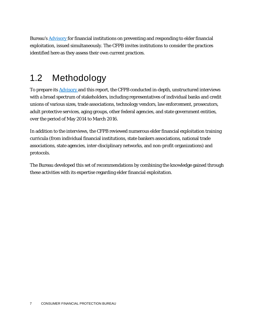Bureau's [Advisory f](http://files.consumerfinance.gov/f/201603_cfpb_advisory-for-financial-institutions-on-preventing-and-responding-to-elder-financial-exploitation.pdf)or financial institutions on preventing and responding to elder financial exploitation, issued simultaneously. The CFPB invites institutions to consider the practices identified here as they assess their own current practices.

## <span id="page-7-0"></span>1.2 Methodology

To prepare its **Advisory** and this report, the CFPB conducted in-depth, unstructured interviews with a broad spectrum of stakeholders, including representatives of individual banks and credit unions of various sizes, trade associations, technology vendors, law enforcement, prosecutors, adult protective services, aging groups, other federal agencies, and state government entities, over the period of May 2014 to March 2016.

In addition to the interviews, the CFPB reviewed numerous elder financial exploitation training curricula (from individual financial institutions, state bankers associations, national trade associations, state agencies, inter-disciplinary networks, and non-profit organizations) and protocols.

The Bureau developed this set of recommendations by combining the knowledge gained through these activities with its expertise regarding elder financial exploitation.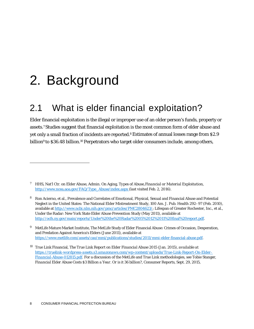# <span id="page-8-0"></span>2. Background

# <span id="page-8-1"></span>2.1 What is elder financial exploitation?

Elder financial exploitation is the illegal or improper use of an older person's funds, property or assets[.7](#page-8-2) Studies suggest that financial exploitation is the most common form of elder abuse and yet only a small fraction of incidents are reported.<sup>8</sup> Estimates of annual losses range from \$2.9 billion<sup>9</sup> to \$36.48 billion.<sup>10</sup> Perpetrators who target older consumers include, among others,

<span id="page-8-2"></span>*<sup>7</sup>* HHS, Nat'l Ctr. on Elder Abuse, Admin. On Aging, *Types of Abuse*,*Financial or Material Exploitation,* [http://www.ncea.aoa.gov/FAQ/Type\\_Abuse/index.aspx \(](http://www.ncea.aoa.gov/FAQ/Type_Abuse/index.aspx)last visited Feb. 2, 2016).

<span id="page-8-3"></span><sup>8</sup> Ron Acierno, et al., Prevalence and Correlates of Emotional, Physical, Sexual and Financial Abuse and Potential Neglect in the United States: The National Elder Mistreatment Study, 100 Am. J. Pub. Health 292–97 (Feb. 2010), available at [http://www.ncbi.nlm.nih.gov/pmc/articles/PMC2804623/;](http://www.ncbi.nlm.nih.gov/pmc/articles/PMC2804623/) Lifespan of Greater Rochester, Inc., et al., Under the Radar: New York State Elder Abuse Prevention Study (May 2011), available at [http://ocfs.ny.gov/main/reports/Under%20the%20Radar%2005%2012%2011%20final%20report.pdf.](http://ocfs.ny.gov/main/reports/Under%20the%20Radar%2005%2012%2011%20final%20report.pdf)

<span id="page-8-4"></span><sup>9</sup> MetLife Mature Market Institute, The MetLife Study of Elder Financial Abuse: Crimes of Occasion, Desperation, and Predation Against America's Elders (June 2011), available at [https://www.metlife.com/assets/cao/mmi/publications/studies/2011/mmi-elder-financial-abuse.pdf.](https://www.metlife.com/assets/cao/mmi/publications/studies/2011/mmi-elder-financial-abuse.pdf)

<span id="page-8-5"></span><sup>10</sup> True Link Financial, *The True Link Report on Elder Financial Abuse 2015* (Jan. 2015), *available at [https://truelink-wordpress-assets.s3.amazonaws.com/wp-content/uploads/True-Link-Report-On-Elder-](https://truelink-wordpress-assets.s3.amazonaws.com/wp-content/uploads/True-Link-Report-On-Elder-Financial-Abuse-012815.pdf)[Financial-Abuse-012815.pdf.](https://truelink-wordpress-assets.s3.amazonaws.com/wp-content/uploads/True-Link-Report-On-Elder-Financial-Abuse-012815.pdf)* For a discussion of the MetLife and True Link methodologies, *see* Tobie Stanger, *Financial Elder Abuse Costs \$3 Billion a Year. Or is it 36 billion?*, Consumer Reports, Sept. 29, 2015,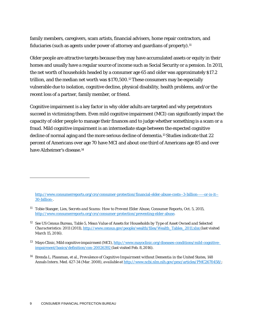family members, caregivers, scam artists, financial advisers, home repair contractors, and fiduciaries (such as agents under power of attorney and guardians of property).<sup>11</sup>

Older people are attractive targets because they may have accumulated assets or equity in their homes and usually have a regular source of income such as Social Security or a pension. In 2011, the net worth of households headed by a consumer age 65 and older was approximately \$17.2 trillion, and the median net worth was \$170,500[.12T](#page-9-1)hese consumers may be especially vulnerable due to isolation, cognitive decline, physical disability, health problems, and/or the recent loss of a partner, family member, or friend.

Cognitive impairment is a key factor in why older adults are targeted and why perpetrators succeed in victimizing them. Even mild cognitive impairment (MCI) can significantly impact the capacity of older people to manage their finances and to judge whether something is a scam or a fraud. Mild cognitive impairment is an intermediate stage between the expected cognitive decline of normal aging and the more serious decline of dementia.<sup>13</sup> Studies indicate that 22 percent of Americans over age 70 have MCI and about one third of Americans age 85 and over have Alzheimer's disease[.14](#page-9-3)

[http://www.consumerreports.org/cro/consumer-protection/financial-elder-abuse-costs--3-billion-----or-is-it--](http://www.consumerreports.org/cro/consumer-protection/financial-elder-abuse-costs--3-billion-----or-is-it--30-billion-) [30-billion-.](http://www.consumerreports.org/cro/consumer-protection/financial-elder-abuse-costs--3-billion-----or-is-it--30-billion-)

<span id="page-9-0"></span><sup>11</sup> Tobie Stanger, *Lies, Secrets and Scams: How to Prevent Elder Abuse*, Consumer Reports, Oct. 5, 2015, [http://www.consumerreports.org/cro/consumer-protection/preventing-elder-abuse.](http://www.consumerreports.org/cro/consumer-protection/preventing-elder-abuse)

<span id="page-9-1"></span><sup>12</sup> *See* US Census Bureau, Table 5, *Mean Value of Assets for Households by Type of Asset Owned and Selected Characteristics: 2011* (2011), [http://www.census.gov/people/wealth/files/Wealth\\_Tables\\_2011.xlsx](http://www.census.gov/people/wealth/files/Wealth_Tables_2011.xlsx) (last visited March 15, 2016).

<span id="page-9-2"></span><sup>13</sup> Mayo Clinic, *Mild cognitive impairment* (MCI)*,* [http://www.mayoclinic.org/diseases-conditions/mild-cognitive](http://www.mayoclinic.org/diseases-conditions/mild-cognitive-impairment/basics/definition/con-20026392)[impairment/basics/definition/con-20026392 \(](http://www.mayoclinic.org/diseases-conditions/mild-cognitive-impairment/basics/definition/con-20026392)last visited Feb. 8,2016).

<span id="page-9-3"></span><sup>14</sup> Brenda L. Plassman, et al., *Prevalence of Cognitive Impairment without Dementia in the United States*, 148 Annals Intern. Med. 427-34 (Mar. 2008), *available at* [http://www.ncbi.nlm.nih.gov/pmc/articles/PMC2670458/;](http://www.ncbi.nlm.nih.gov/pmc/articles/PMC2670458/)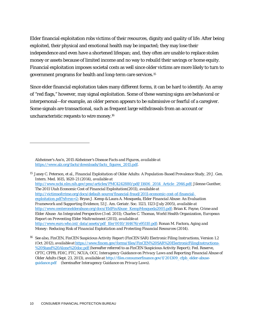Elder financial exploitation robs victims of their resources, dignity and quality of life. After being exploited, their physical and emotional health may be impacted; they may lose their independence and even have a shortened lifespan; and, they often are unable to replace stolen money or assets because of limited income and no way to rebuild their savings or home equity. Financial exploitation imposes societal costs as well since older victims are more likely to turn to government programs for health and long-term care services[.15](#page-10-0)

Since elder financial exploitation takes many different forms, it can be hard to identify. An array of "red flags," however, may signal exploitation. Some of these warning signs are behavioral or interpersonal—for example, an older person appears to be submissive or fearful of a caregiver. Some signals are transactional, such as frequent large withdrawals from an account or uncharacteristic requests to wire money[.16](#page-10-1)

Alzheimer's Ass'n, *2015 Alzheimer's Disease Facts and Figures, available at* [https://www.alz.org/facts/downloads/facts\\_figures\\_2015.pdf.](https://www.alz.org/facts/downloads/facts_figures_2015.pdf)

<span id="page-10-0"></span><sup>15</sup> Janey C. Peterson, et al., *Financial Exploitation of Older Adults: A Population-Based Prevalence Study, 29 J. Gen.* Intern. Med. 1615, 1620-21 (2014), *available at*  [http://www.ncbi.nlm.nih.gov/pmc/articles/PMC4242880/pdf/11606\\_2014\\_Article\\_2946.pdf;](http://www.ncbi.nlm.nih.gov/pmc/articles/PMC4242880/pdf/11606_2014_Article_2946.pdf) Jilenne Gunther, *The 2011 Utah Economic Cost of Financial Exploitation*(2011), *available at*  [http://victimsofcrime.org/docs/default-source/financial-fraud/2011-economic-cost-of-financial](http://victimsofcrime.org/docs/default-source/financial-fraud/2011-economic-cost-of-financial-exploitation.pdf?sfvrsn=2)[exploitation.pdf?sfvrsn=2;](http://victimsofcrime.org/docs/default-source/financial-fraud/2011-economic-cost-of-financial-exploitation.pdf?sfvrsn=2) Bryan J. Kemp & Laura A. Mosqueda, *Elder Financial Abuse: An Evaluation Framework and Supporting Evidence*, 53 J. Am. Geriatr. Soc. 1123, 1123 (July 2005), *available at*  [http://www.centeronelderabuse.org/docs/EldFinAbuse\\_KempMosqueda2005.pdf;](http://www.centeronelderabuse.org/docs/EldFinAbuse_KempMosqueda2005.pdf) Brian K. Payne, *Crime and Elder Abuse: An Integrated Perspective* (3 ed. 2011); Charles C. Thomas, World Health Organization, *European Report on Preventing Elder Maltreatment* (2011), *available at* [http://www.euro.who.int/ data/assets/pdf\\_file/0010/144676/e95110.pdf;](http://www.euro.who.int/__data/assets/pdf_file/0010/144676/e95110.pdf) Ronan M. Factora, *Aging and Money: Reducing Risk of Financial Exploitation and Protecting Financial Resources* (2014).

<span id="page-10-1"></span><sup>16</sup> *See also*, FinCEN, *FinCEN Suspicious Activity Report (FinCEN SAR) Electronic Filing Instructions*, Version 1.2 (Oct. 2012), *available at* [https://www.fincen.gov/forms/files/FinCEN%20SAR%20ElectronicFilingInstructions-](https://www.fincen.gov/forms/files/FinCEN%20SAR%20ElectronicFilingInstructions-%20Stand%20Alone%20doc.pdf) [%20Stand%20Alone%20doc.pdf \(](https://www.fincen.gov/forms/files/FinCEN%20SAR%20ElectronicFilingInstructions-%20Stand%20Alone%20doc.pdf)hereafter referred to as FinCEN *Suspicious Activity Report*); Fed. Reserve, CFTC, CFPB, FDIC, FTC, NCUA, OCC, *Interagency Guidance on Privacy Laws and Reporting Financial Abuse of Older Adults* (Sept. 23, 2013), *available at* [http://files.consumerfinance.gov/f/201309\\_cfpb\\_elder-abuse](http://files.consumerfinance.gov/f/201309_cfpb_elder-abuse-)guidance.pdf (hereinafter *Interagency Guidance on Privacy Laws*).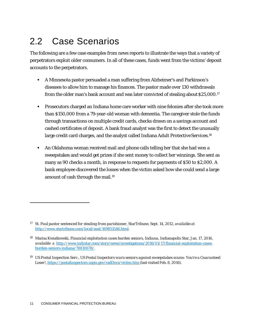# <span id="page-11-0"></span>2.2 Case Scenarios

The following are a few case examples from news reports to illustrate the ways that a variety of perpetrators exploit older consumers. In all of these cases, funds went from the victims' deposit accounts to the perpetrators.

- A Minnesota pastor persuaded a man suffering from Alzheimer's and Parkinson's diseases to allow him to manage his finances. The pastor made over 130 withdrawals from the older man's bank account and was later convicted of stealing about\$25,000[.17](#page-11-1)
- Prosecutors charged an Indiana home care worker with nine felonies after she took more than \$150,000 from a 79-year-old woman with dementia. The caregiver stole the funds through transactions on multiple credit cards, checks drawn on a savings account and cashed certificates of deposit. A bank fraud analyst was the first to detect the unusually large credit card charges, and the analyst called Indiana Adult Protective Services.<sup>18</sup>
- An Oklahoma woman received mail and phone calls telling her that she had won a sweepstakes and would get prizes if she sent money to collect her winnings. She sent as many as 90 checks a month, in response to requests for payments of \$50 to \$2,000. A bank employee discovered the losses when the victim asked how she could send a large amount of cash through the mail[.19](#page-11-3)

<span id="page-11-1"></span>*<sup>17</sup> St. Paul pastor sentenced for stealing from parishioner*, StarTribune, Sept. 14, 2012, *available at* [http://www.startribune.com/local/east/169851546.html.](http://www.startribune.com/local/east/169851546.html)

<span id="page-11-2"></span><sup>18</sup> Marisa Kwiatkowski, *Financial exploitation cases burden seniors, Indiana,* Indianapolis Star, Jan. 17, 2016, *available a* [http://www.indystar.com/story/news/investigations/2016/01/17/financial-exploitation-cases](http://www.indystar.com/story/news/investigations/2016/01/17/financial-exploitation-cases-burden-seniors-indiana/78810678/)[burden-seniors-indiana/78810678/.](http://www.indystar.com/story/news/investigations/2016/01/17/financial-exploitation-cases-burden-seniors-indiana/78810678/)

<span id="page-11-3"></span><sup>19</sup> US Postal Inspection Serv., *US Postal Inspectors warn seniors against sweepstakes scams: You're a Guaranteed Loser!*, <https://postalinspectors.uspis.gov/radDocs/victim.htm> (last visited Feb. 8, 2016).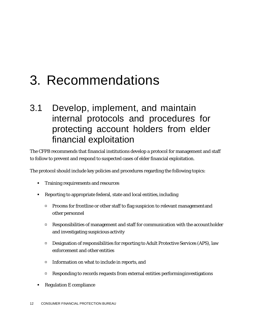# <span id="page-12-0"></span>3. Recommendations

# 3.1 Develop, implement, and maintain internal protocols and procedures for protecting account holders from elder financial exploitation

The CFPB recommends that financial institutions develop a protocol for management and staff to follow to prevent and respond to suspected cases of elder financial exploitation.

The protocol should include key policies and procedures regarding the following topics:

- Training requirements and resources
- Reporting to appropriate federal, state and local entities, including
	- **Process for frontline or other staff to flag suspicion to relevant managementand** other personnel
	- $\Box$  Responsibilities of management and staff for communication with the account holder and investigating suspicious activity
	- $\Box$  Designation of responsibilities for reporting to Adult Protective Services (APS), law enforcement and other entities
	- Information on what to include in reports, and
	- $\Box$  Responding to records requests from external entities performing investigations
- **Regulation E compliance**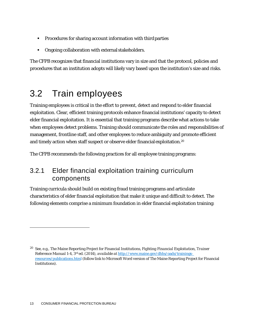- **Procedures for sharing account information with third parties**
- **•** Ongoing collaboration with external stakeholders.

The CFPB recognizes that financial institutions vary in size and that the protocol, policies and procedures that an institution adopts will likely vary based upon the institution's size and risks.

# <span id="page-13-0"></span>3.2 Train employees

Training employees is critical in the effort to prevent, detect and respond to elder financial exploitation. Clear, efficient training protocols enhance financial institutions' capacity to detect elder financial exploitation. It is essential that training programs describe what actions to take when employees detect problems. Training should communicate the roles and responsibilities of management, frontline staff, and other employees to reduce ambiguity and promote efficient and timely action when staff suspect or observe elder financial exploitation[.20](#page-13-1)

The CFPB recommends the following practices for all employee training programs:

### 3.2.1 Elder financial exploitation training curriculum components

Training curricula should build on existing fraud training programs and articulate characteristics of elder financial exploitation that make it unique and difficult to detect. The following elements comprise a minimum foundation in elder financial exploitation training:

<span id="page-13-1"></span><sup>20</sup> *See*, e.g., The Maine Reporting Project for Financial Institutions, *Fighting Financial Exploitation, Trainer Reference Manual* 1-4, 3rd ed. (2014), *available at* [http://www.maine.gov/dhhs/oads/trainings](http://www.maine.gov/dhhs/oads/trainings-resources/publications.html)[resources/publications.html](http://www.maine.gov/dhhs/oads/trainings-resources/publications.html) (follow link to Microsoft Word version of The Maine Reporting Project for Financial Institutions).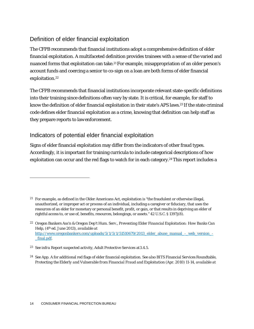#### Definition of elder financial exploitation

The CFPB recommends that financial institutions adopt a comprehensive definition of elder financial exploitation. A multifaceted definition provides trainees with a sense of the varied and nuanced forms that exploitation can take.<sup>21</sup> For example, misappropriation of an older person's account funds and coercing a senior to co-sign on a loan are both forms of elder financial exploitation.<sup>22</sup>

The CFPB recommends that financial institutions incorporate relevant state-specific definitions into their training since definitions often vary by state. It is critical, for example, for staff to know the definition of elder financial exploitation in their state's APS laws[.23](#page-14-2) If the state criminal code defines elder financial exploitation as a crime, knowing that definition can help staff as they prepare reports to law enforcement.

#### Indicators of potential elder financial exploitation

Signs of elder financial exploitation may differ from the indicators of other fraud types. Accordingly, it is important for training curricula to include categorical descriptions of how exploitation can occur and the red flags to watch for in each category.<sup>24</sup> This report includes a

<span id="page-14-0"></span><sup>&</sup>lt;sup>21</sup> For example, as defined in the Older Americans Act, exploitation is "the fraudulent or otherwise illegal, unauthorized, or improper act or process of an individual, including a caregiver or fiduciary, that uses the resources of an elder for monetary or personal benefit, profit, or gain, or that results in depriving an elder of rightful access to, or use of, benefits, resources, belongings, or assets." 42 U.S.C. § 1397j(8).

<span id="page-14-1"></span><sup>22</sup> Oregon Bankers Ass'n & Oregon Dep't Hum. Serv., *Preventing Elder Financial Exploitation: How Banks Can Help,* (4th ed. June 2013), *available at*  [http://www.oregonbankers.com/uploads/5/1/5/1/51510679/2013\\_elder\\_abuse\\_manual\\_-\\_web\\_version\\_-](http://www.oregonbankers.com/uploads/5/1/5/1/51510679/2013_elder_abuse_manual_-_web_version_-_final.pdf) [\\_final.pdf.](http://www.oregonbankers.com/uploads/5/1/5/1/51510679/2013_elder_abuse_manual_-_web_version_-_final.pdf)

<span id="page-14-2"></span><sup>23</sup> *See infra* Report suspected activity, Adult Protective Services at3.4.5.

<span id="page-14-3"></span><sup>24</sup> *See* App. A for additional red flags of elder financial exploitation. *See also* BITS Financial Services Roundtable, *Protecting the Elderly and Vulnerable from Financial Fraud and Exploitation (Apr. 2010) 11-14, <i>available at*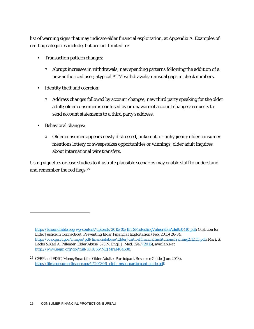list of warning signs that may indicate elder financial exploitation, at Appendix A. Examples of red flag categories include, but are not limited to:

- **Transaction pattern changes:** 
	- $\Box$  Abrupt increases in withdrawals; new spending patterns following the addition of a new authorized user; atypical ATM withdrawals; unusual gaps in checknumbers.
- **IDENTIFY THATH IDENTIFY** theft and coercion:
	- $\Box$  Address changes followed by account changes; new third party speaking for the older adult; older consumer is confused by or unaware of account changes; requests to send account statements to a third party's address.
- Behavioral changes:
	- Older consumer appears newly distressed, unkempt, or unhygienic; older consumer mentions lottery or sweepstakes opportunities or winnings; older adult inquires about international wire transfers.

Using vignettes or case studies to illustrate plausible scenarios may enable staff to understand and remember the red flags[.25](#page-15-0)

[http://fsroundtable.org/wp-content/uploads/2015/05/BITSProtectingVulnerableAdults0410.pdf;](http://fsroundtable.org/wp-content/uploads/2015/05/BITSProtectingVulnerableAdults0410.pdf) Coalition for Elder Justice in Connecticut, *Preventing Elder Financial Exploitation* (Feb. 2015) 26-34, [http://coa.cga.ct.gov/images/pdf/financialabuse/ElderJusiticeFinancialInstitutionsTraining2.12.15.pdf;](http://coa.cga.ct.gov/images/pdf/financialabuse/ElderJusiticeFinancialInstitutionsTraining2.12.15.pdf) Mark S. Lachs & Karl A. Pillemer, *Elder Abuse,* 373 N. Engl. J. Med. 194[7 \(2015\)](http://www.nejm.org/toc/nejm/373/20/), *available at*  [http://www.nejm.org/doi/full/10.1056/NEJMra1404688.](http://www.nejm.org/doi/full/10.1056/NEJMra1404688)

<span id="page-15-0"></span><sup>25</sup> CFBP and FDIC, *MoneySmart for Older Adults: Participant Resource Guide* (Jun.2013), [http://files.consumerfinance.gov/f/201306\\_cfpb\\_msoa-participant-guide.pdf.](http://files.consumerfinance.gov/f/201306_cfpb_msoa-participant-guide.pdf)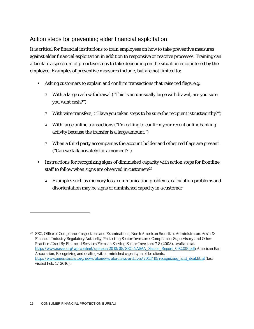#### Action steps for preventing elder financial exploitation

It is critical for financial institutions to train employees on how to take preventive measures against elder financial exploitation in addition to responsive or reactive processes. Training can articulate a spectrum of proactive steps to take depending on the situation encountered by the employee. Examples of preventive measures include, but are not limited to:

- Asking customers to explain and confirm transactions that raise red flags, e.g.:
	- With a large cash withdrawal ("This is an unusually large withdrawal, are you sure you want cash?")
	- $\Box$  With wire transfers, ("Have you taken steps to be sure the recipient istrustworthy?")
	- With large online transactions ("I'm calling to confirm your recent onlinebanking activity because the transfer is a large amount.")
	- $\Box$  When a third party accompanies the account holder and other red flags are present ("Can we talk privately for a moment?")
- Instructions for recognizing signs of diminished capacity with action steps for frontline staff to follow when signs are observed in customers<sup>26</sup>
	- $\Box$  Examples such as memory loss, communication problems, calculation problems and disorientation may be signs of diminished capacity in a customer

<span id="page-16-0"></span><sup>&</sup>lt;sup>26</sup> SEC, Office of Compliance Inspections and Examinations, North American Securities Administrators Ass'n & Financial Industry Regulatory Authority, *Protecting Senior Investors: Compliance, Supervisory and Other Practices Used By Financial Services Firms in Serving Senior Investors* 7-8 (2008), *available at*  [http://www.nasaa.org/wp-content/uploads/2010/08/SEC-NASAA\\_Senior\\_Report\\_092208.pdf;](http://www.nasaa.org/wp-content/uploads/2010/08/SEC-NASAA_Senior_Report_092208.pdf) American Bar Association, Recognizing and dealing with diminished capacity in older clients, [http://www.americanbar.org/news/abanews/aba-news-archives/2013/10/recognizing\\_and\\_deal.html](http://www.americanbar.org/news/abanews/aba-news-archives/2013/10/recognizing_and_deal.html) (last visited Feb. 17, 2016).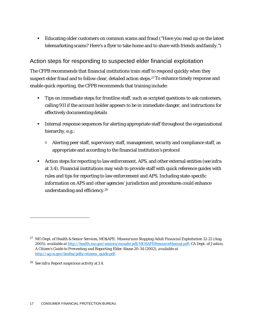Educating older customers on common scams and fraud ("Have you read up on the latest telemarketing scams? Here's a flyer to take home and to share with friends andfamily.")

#### Action steps for responding to suspected elder financial exploitation

The CFPB recommends that financial institutions train staff to respond quickly when they suspect elder fraud and to follow clear, detailed action steps[.27T](#page-17-0)o enhance timely response and enable quick reporting, the CFPB recommends that training include:

- **Tips on immediate steps for frontline staff, such as scripted questions to ask customers,** calling 911 if the account holder appears to be in immediate danger, and instructions for effectively documenting details
- Internal response sequences for alerting appropriate staff throughout the organizational hierarchy, e.g.:
	- $\Box$  Alerting peer staff, supervisory staff, management, security and compliance staff, as appropriate and according to the financial institution's protocol
- Action steps for reporting to law enforcement, APS, and other external entities (*see infra*  at 3.4). Financial institutions may wish to provide staff with quick reference guides with rules and tips for reporting to law enforcement and APS. Including state-specific information on APS and other agencies' jurisdiction and procedures could enhance understanding and efficiency[.28](#page-17-1)

<span id="page-17-0"></span><sup>&</sup>lt;sup>27</sup> MO Dept. of Health & Senior Services, *MOSAFE: Missourians Stopping Adult Financial Exploitation* 12-22 (Aug. 2005), *available at* [http://health.mo.gov/seniors/mosafe/pdf/MOSAFEResourceManual.pdf;](http://health.mo.gov/seniors/mosafe/pdf/MOSAFEResourceManual.pdf) CA Dept. of Justice, *A Citizen's Guide to Preventing and Reporting Elder Abuse 20-34* (2002), *available at*  [http://ag.ca.gov/bmfea/pdfs/citizens\\_guide.pdf.](http://ag.ca.gov/bmfea/pdfs/citizens_guide.pdf)

<span id="page-17-1"></span><sup>28</sup> *See infra* Report suspicious activity at3.4.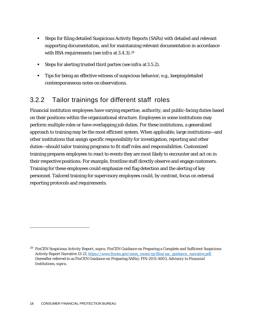- Steps for filing detailed Suspicious Activity Reports (SARs) with detailed and relevant supporting documentation, and for maintaining relevant documentation in accordance with BSA requirements (*see infra* at 3.4.3)[.29](#page-18-0)
- Steps for alerting trusted third parties (*see infra* at3.5.2).
- Tips for being an effective witness of suspicious behavior, e.g., keepingdetailed contemporaneous notes onobservations.

## 3.2.2 Tailor trainings for different staff roles

Financial institution employees have varying expertise, authority, and public-facing duties based on their positions within the organizational structure. Employees in some institutions may perform multiple roles or have overlapping job duties. For these institutions, a generalized approach to training may be the most efficient system. When applicable, large institutions—and other institutions that assign specific responsibility for investigation, reporting and other duties—should tailor training programs to fit staff roles and responsibilities. Customized training prepares employees to react to events they are most likely to encounter and act on in their respective positions. For example, frontline staff directly observe and engage customers. Training for these employees could emphasize red flag detection and the alerting of key personnel. Tailored training for supervisory employees could, by contrast, focus on external reporting protocols and requirements.

<span id="page-18-0"></span><sup>29</sup> FinCEN *Suspicious Activity Report*, *supra*; FinCEN Guidance on Preparing a Complete and Sufficient Suspicious Activity Report Narrative 13-21[, https://www.fincen.gov/news\\_room/rp/files/sar\\_guidance\\_narrative.pdf](https://www.fincen.gov/news_room/rp/files/sar_guidance_narrative.pdf)  (hereafter referred to as FinCEN Guidance on Preparing SARs); FIN-2011-A003, *Advisory to Financial Institutions*, *supra*.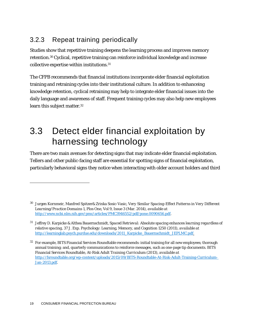## 3.2.3 Repeat training periodically

Studies show that repetitive training deepens the learning process and improves memory retention[.30C](#page-19-1)yclical, repetitive training can reinforce individual knowledge and increase collective expertise within institutions[.31](#page-19-2)

The CFPB recommends that financial institutions incorporate elder financial exploitation training and retraining cycles into their institutional culture. In addition to enhanceing knowledge retention, cyclical retraining may help to integrate elder financial issues into the daily language and awareness of staff. Frequent training cycles may also help new employees learn this subject matter.<sup>32</sup>

# <span id="page-19-0"></span>3.3 Detect elder financial exploitation by harnessing technology

There are two main avenues for detecting signs that may indicate elder financial exploitation. Tellers and other public-facing staff are essential for spotting signs of financial exploitation, particularly behavioral signs they notice when interacting with older account holders and third

<span id="page-19-3"></span><sup>32</sup> For example, BITS Financial Services Roundtable recommends: initial training for all new employees; thorough annual training; and, quarterly communications to reinforce messages, such as one-page tip documents. BITS Financial Services Roundtable, *At-Risk Adult Training Curriculum* (2013), *available at*  [http://fsroundtable.org/wp-content/uploads/2015/09/BITS-Roundtable-At-Risk-Adult-Training-Curriculum-](http://fsroundtable.org/wp-content/uploads/2015/09/BITS-Roundtable-At-Risk-Adult-Training-Curriculum-Jan-2013.pdf)[Jan-2013.pdf.](http://fsroundtable.org/wp-content/uploads/2015/09/BITS-Roundtable-At-Risk-Adult-Training-Curriculum-Jan-2013.pdf)

<span id="page-19-1"></span><sup>30</sup> Jurgen Kornmeir, Manfred Spitzer& Zrinka Sosic-Vasic, *Very Similar Spacing-Effect Patterns in Very Different Learning/Practice Domains* 1, Plos One, Vol 9, Issue 3 (Mar. 2014), *available at*  [http://www.ncbi.nlm.nih.gov/pmc/articles/PMC3946552/pdf/pone.0090656.pdf.](http://www.ncbi.nlm.nih.gov/pmc/articles/PMC3946552/pdf/pone.0090656.pdf)

<span id="page-19-2"></span><sup>31</sup> Jeffrey D. Karpicke & Althea Bauernschmidt, *Spaced Retrieval: Absolute spacing enhances learning regardless of relative spacing*, 37 J. Exp. Psychology: Learning, Memory, and Cognition 1250 (2011), *available at*  [http://learninglab.psych.purdue.edu/downloads/2011\\_Karpicke\\_Bauernschmidt\\_JEPLMC.pdf.](http://learninglab.psych.purdue.edu/downloads/2011_Karpicke_Bauernschmidt_JEPLMC.pdf)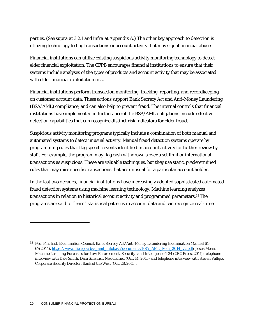parties. (*See supra* at 3.2.1 and *infra* at Appendix A.) The other key approach to detection is utilizing technology to flag transactions or account activity that may signal financial abuse.

Financial institutions can utilize existing suspicious activity monitoring technology to detect elder financial exploitation. The CFPB encourages financial institutions to ensure that their systems include analyses of the types of products and account activity that may be associated with elder financial exploitation risk.

Financial institutions perform transaction monitoring, tracking, reporting, and recordkeeping on customer account data. These actions support Bank Secrecy Act and Anti-Money Laundering (BSA/AML) compliance, and can also help to prevent fraud. The internal controls that financial institutions have implemented in furtherance of the BSA/AML obligations include effective detection capabilities that can recognize distinct risk indicators for elder fraud.

Suspicious activity monitoring programs typically include a combination of both manual and automated systems to detect unusual activity. Manual fraud detection systems operate by programming rules that flag specific events identified in account activity for further review by staff. For example, the program may flag cash withdrawals over a set limit or international transactions as suspicious. These are valuable techniques, but they use static, predetermined rules that may miss specific transactions that are unusual for a particular account holder.

In the last two decades, financial institutions have increasingly adopted sophisticated automated fraud detection systems using machine learning technology. Machine learning analyzes transactions in relation to historical account activity and programmed parameters[.33T](#page-20-0)he programs are said to "learn" statistical patterns in account data and can recognize real-time

<span id="page-20-0"></span><sup>33</sup> Fed. Fin. Inst. Examination Council, *Bank Secrecy Act/Anti-Money Laundering Examination Manual* 61- 67(2014), [https://www.ffiec.gov/bsa\\_aml\\_infobase/documents/BSA\\_AML\\_Man\\_2014\\_v2.pdf](https://www.ffiec.gov/bsa_aml_infobase/documents/BSA_AML_Man_2014_v2.pdf)*;* Jesus Mena, *Machine Learning Forensics for Law Enforcement, Security, and Intelligence 1-24 (CRC Press, 2011); telephone* interview with Dale Smith, Data Scientist, Nexidia Inc. (Oct. 14, 2015) and telephone interview with Steven Vallejo, Corporate Security Director, Bank of the West (Oct. 28,2015).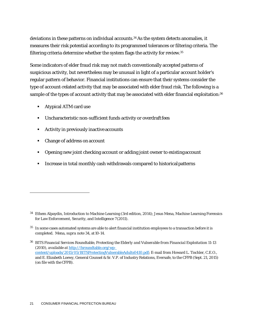deviations in these patterns on individual accounts[.34A](#page-21-0)s the system detects anomalies, it measures their risk potential according to its programmed tolerances or filtering criteria. The filtering criteria determine whether the system flags the activity for review[.35](#page-21-1)

Some indicators of elder fraud risk may not match conventionally accepted patterns of suspicious activity, but nevertheless may be unusual in light of a particular account holder's regular pattern of behavior. Financial institutions can ensure that their systems consider the type of account-related activity that may be associated with elder fraud risk. The following is a sample of the types of account activity that may be associated with elder financial exploitation:<sup>36</sup>

- Atypical ATM card use
- Uncharacteristic non-sufficient funds activity or overdraft fees
- Activity in previously inactive accounts
- Change of address on account
- Opening new joint checking account or adding joint owner to existingaccount
- **IF Increase in total monthly cash withdrawals compared to historical patterns**

<span id="page-21-0"></span><sup>34</sup> Ethem Alpaydin, Introduction to Machine Learning (3rd edition, 2014); Jesus Mena, Machine Learning Forensics for Law Enforcement, Security, and Intelligence 7(2011).

<span id="page-21-1"></span><sup>35</sup> In some cases automated systems are able to alert financial institution employees to a transaction before it is completed. Mena, *supra* note 34, at 10-14.

<span id="page-21-2"></span><sup>36</sup> BITS Financial Services Roundtable, *Protecting the Elderly and Vulnerable from Financial Exploitation* 11-13 (2010), *available at* [http://fsroundtable.org/wp](http://fsroundtable.org/wp-content/uploads/2015/05/BITSProtectingVulnerableAdults0410.pdf)[content/uploads/2015/05/BITSProtectingVulnerableAdults0410.pdf;](http://fsroundtable.org/wp-content/uploads/2015/05/BITSProtectingVulnerableAdults0410.pdf) E-mail from Howard L. Tischler, C.E.O., and E. Elizabeth Loewy, General Counsel & Sr. V.P. of Industry Relations, Eversafe, to the CFPB (Sept. 21, 2015) (on file with the CFPB).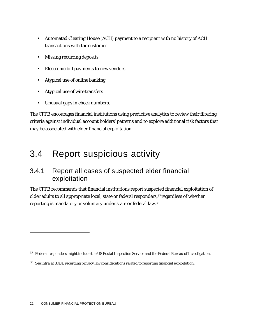- Automated Clearing House (ACH) payment to a recipient with no history of ACH transactions with the customer
- **Missing recurring deposits**
- Electronic bill payments to new vendors
- Atypical use of online banking
- Atypical use of wire transfers
- Unusual gaps in check numbers.

The CFPB encourages financial institutions using predictive analytics to review their filtering criteria against individual account holders' patterns and to explore additional risk factors that may be associated with elder financial exploitation.

## <span id="page-22-0"></span>3.4 Report suspicious activity

#### 3.4.1 Report all cases of suspected elder financial exploitation

The CFPB recommends that financial institutions report suspected financial exploitation of older adults to all appropriate local, state or federal responders,<sup>37</sup> regardless of whether reporting is mandatory or voluntary under state or federal law[.38](#page-22-2)

<span id="page-22-1"></span><sup>&</sup>lt;sup>37</sup> Federal responders might include the US Postal Inspection Service and the Federal Bureau of Investigation.

<span id="page-22-2"></span><sup>38</sup> *See infra* at 3.4.4. regarding privacy law considerations related to reporting financial exploitation.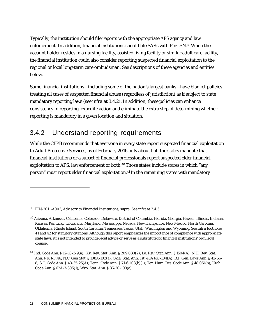Typically, the institution should file reports with the appropriate APS agency and law enforcement. In addition, financial institutions should file SARs with FinCEN[.39W](#page-23-0)hen the account holder resides in a nursing facility, assisted living facility or similar adult care facility, the financial institution could also consider reporting suspected financial exploitation to the regional or local long-term care ombudsman. See descriptions of these agencies and entities below.

Some financial institutions—including some of the nation's largest banks—have blanket policies treating all cases of suspected financial abuse (regardless of jurisdiction) as if subject to state mandatory reporting laws (*see infra* at 3.4.2). In addition, these policies can enhance consistency in reporting, expedite action and eliminate the extra step of determining whether reporting is mandatory in a given location and situation.

## 3.4.2 Understand reporting requirements

While the CFPB recommends that everyone in every state report suspected financial exploitation to Adult Protective Services, as of February 2016 only about half the states mandate that financial institutions or a subset of financial professionals report suspected elder financial exploitation to APS, law enforcement or both.<sup>40</sup> Those states include states in which "any person" must report elder financial exploitation.<sup>41</sup> In the remaining states with mandatory

<span id="page-23-0"></span><sup>39</sup> FIN-2011-A003, Advisory to Financial Institutions, supra; See *infra*at 3.4.3.

<span id="page-23-1"></span><sup>&</sup>lt;sup>40</sup> Arizona, Arkansas, California, Colorado, Delaware, District of Columbia, Florida, Georgia, Hawaii, Illinois, Indiana, Kansas, Kentucky, Louisiana, Maryland, Mississippi, Nevada, New Hampshire, New Mexico, North Carolina, Oklahoma, Rhode Island, South Carolina, Tennessee, Texas, Utah, Washington and Wyoming. *See infra* footnotes 41 and 42 for statutory citations. Although this report emphasizes the importance of compliance with appropriate state laws, it is not intended to provide legal advice or serve as a substitute for financial institutions' own legal counsel.

<span id="page-23-2"></span><sup>41</sup> Ind. Code Ann. § 12-10-3-9(a); Ky. Rev. Stat. Ann. § 209.030(2); La. Rev. Stat. Ann. § 1504(A); N.H. Rev. Stat. Ann. § 161-F:46; N.C. Gen Stat. § 108A-102(a); Okla. Stat. Ann. Tit. 43A §10-104(A); R.I. Gen. Laws Ann. § 42-66- 8; S.C. Code Ann. § 43-35-25(A); Tenn. Code Ann. § 71-6-103(b)(1); Tex. Hum. Res. Code Ann. § 48.051(b); Utah Code Ann. § 62A-3-305(1); Wyo. Stat. Ann. § 35-20-103(a).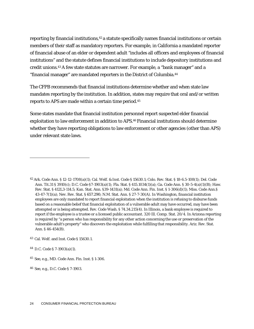reporting by financial institutions,<sup>42</sup> a statute specifically names financial institutions or certain members of their staff as mandatory reporters. For example, in California a mandated reporter of financial abuse of an elder or dependent adult "includes all officers and employees of financial institutions" and the statute defines financial institutions to include depository institutions and credit unions[.43A](#page-24-1) few state statutes are narrower. For example, a "bank manager" and a "financial manager" are mandated reporters in the District of Columbia[.44](#page-24-2)

The CFPB recommends that financial institutions determine whether and when state law mandates reporting by the institution. In addition, states may require that oral and/or written reports to APS are made within a certain time period[.45](#page-24-3)

Some states mandate that financial institution personnel report suspected elder financial exploitation to law enforcement in addition to APS.<sup>46</sup> Financial institutions should determine whether they have reporting obligations to law enforcement or other agencies (other than APS) under relevant state laws.

<span id="page-24-0"></span><sup>42</sup> Ark. Code Ann. § 12-12-1708(a)(1); Cal. Welf. & Inst. Code § 15630.1; Colo. Rev. Stat. § 18-6.5-108(1); Del. Code Ann. Tit.31 § 3910(c); D.C. Code §7-1903(a)(1); Fla. Stat. § 415.1034(1)(a); Ga. Code Ann. § 30-5-4(a)(1)(B); Haw. Rev. Stat. § 412L3-114.5; Kan. Stat. Ann. §39-1431(a); Md. Code Ann. Fin. Inst. § 1-306(d)(1); Miss. Code Ann.§ 43-47-7(1)(a); Nev. Rev. Stat. § 657.290; N.M. Stat. Ann. § 27-7-30(A). In Washington, financial institution employees are only mandated to report financial exploitation when the institution is refusing to disburse funds based on a reasonable belief that financial exploitation of a vulnerable adult may have occurred, may have been attempted or is being attempted. Rev. Code Wash. § 74.34.215(4). In Illinois, a bank employee is required to report if the employee is a trustee or a licensed public accountant. 320 Ill. Comp. Stat. 20/4. In Arizona reporting is required by "a person who has responsibility for any other action concerning the use or preservation of the vulnerable adult's property" who discovers the exploitation while fulfilling that responsibility. Ariz. Rev. Stat. Ann. § 46-454(B).

<span id="page-24-1"></span><sup>43</sup> Cal. Welf. and Inst. Code § 15630.1.

<span id="page-24-2"></span><sup>44</sup> D.C. Code § 7-1903(a)(1).

<span id="page-24-3"></span><sup>45</sup>*See*, e.g., MD. Code Ann. Fin. Inst. § 1-306.

<span id="page-24-4"></span><sup>46</sup>*See*, e.g., D.C. Code § 7-1903.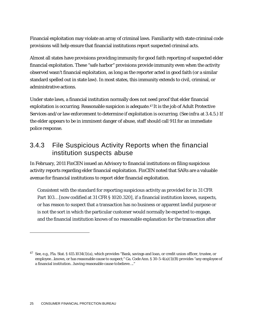Financial exploitation may violate an array of criminal laws. Familiarity with state criminal code provisions will help ensure that financial institutions report suspected criminal acts.

Almost all states have provisions providing immunity for good faith reporting of suspected elder financial exploitation. These "safe harbor" provisions provide immunity even when the activity observed wasn't financial exploitation, as long as the reporter acted in good faith (or a similar standard spelled out in state law). In most states, this immunity extends to civil, criminal, or administrative actions.

Under state laws, a financial institution normally does not need proof that elder financial exploitation is occurring. Reasonable suspicion is adequate[.47](#page-25-0) It is the job of Adult Protective Services and/or law enforcement to determine if exploitation is occurring. (*See infra* at 3.4.5.) If the elder appears to be in imminent danger of abuse, staff should call 911 for an immediate police response.

### 3.4.3 File Suspicious Activity Reports when the financial institution suspects abuse

In February, 2011 FinCEN issued an Advisory to financial institutions on filing suspicious activity reports regarding elder financial exploitation. FinCEN noted that SARs are a valuable avenue for financial institutions to report elder financial exploitation.

Consistent with the standard for reporting suspicious activity as provided for in 31 CFR Part 103… [now codified at 31 CFR § 1020.320], if a financial institution knows, suspects, or has reason to suspect that a transaction has no business or apparent lawful purpose or is not the sort in which the particular customer would normally be expected to engage, and the financial institution knows of no reasonable explanation for the transaction after

<span id="page-25-0"></span><sup>47</sup> *See*, e.g., Fla. Stat. § 415.1034(1)(a), which provides "Bank, savings and loan, or credit union officer, trustee, or employee…knows, or has reasonable cause to suspect;" Ga. Code Ann. § 30-5-4(a)(1)(B) provides "any employee of a financial institution…having reasonable cause tobelieve…."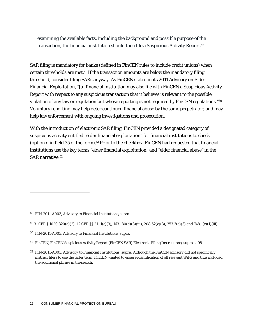examining the available facts, including the background and possible purpose of the transaction, the financial institution should then file a Suspicious Activity Report.*[48](#page-26-0)*

SAR filing is mandatory for banks (defined in FinCEN rules to include credit unions) when certain thresholds are met[.49](#page-26-1) If the transaction amounts are below the mandatory filing threshold, consider filing SARs anyway. As FinCEN stated in its 2011 Advisory on Elder Financial Exploitation, "[a] financial institution may also file with FinCEN a Suspicious Activity Report with respect to any suspicious transaction that it believes is relevant to the possible violation of any law or regulation but whose reporting is not required by FinCEN regulations.["50](#page-26-2) Voluntary reporting may help deter continued financial abuse by the same perpetrator, and may help law enforcement with ongoing investigations and prosecution.

With the introduction of electronic SAR filing, FinCEN provided a designated category of suspicious activity entitled "elder financial exploitation" for financial institutions to check (option d in field 35 of the form).<sup>51</sup> Prior to the checkbox, FinCEN had requested that financial institutions use the key terms "elder financial exploitation" and "elder financial abuse" in the SAR narrative[.52](#page-26-4)

<span id="page-26-0"></span><sup>48</sup> FIN-2011-A003, Advisory to Financial Institutions,supra.

<span id="page-26-1"></span><sup>49 31</sup> CFR § 1020.320(a)(2); 12 CFR §§ 21.11(c)(3), 163.180(d)(3)(iii), 208.62(c)(3), 353.3(a)(3) and 748.1(c)(1)(iii).

<span id="page-26-2"></span><sup>50</sup> FIN-2011-A003, Advisory to Financial Institutions,supra.

<span id="page-26-3"></span><sup>51</sup> FinCEN, FinCEN Suspicious Activity Report (FinCEN SAR) Electronic Filing Instructions, supra at 98.

<span id="page-26-4"></span><sup>52</sup> FIN-2011-A003, *Advisory to Financial Institutions*, *supra*. Although the FinCEN advisory did not specifically instruct filers to use the latter term, FinCEN wanted to ensure identification of all relevant SARs and thus included the additional phrase in the search.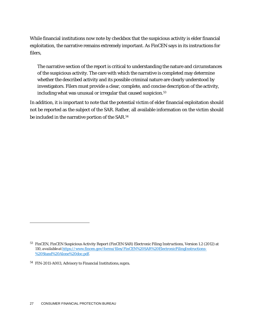While financial institutions now note by checkbox that the suspicious activity is elder financial exploitation, the narrative remains extremely important. As FinCEN says in its instructions for filers,

The narrative section of the report is critical to understanding the nature and circumstances of the suspicious activity. The care with which the narrative is completed may determine whether the described activity and its possible criminal nature are clearly understood by investigators. Filers must provide a clear, complete, and concise description of the activity, including what was unusual or irregular that caused suspicion.<sup>53</sup>

In addition, it is important to note that the potential victim of elder financial exploitation should not be reported as the subject of the SAR. Rather, all available information on the victim should be included in the narrative portion of the SAR[.54](#page-27-1)

<span id="page-27-0"></span><sup>53</sup> FinCEN, *FinCEN Suspicious Activity Report (FinCEN SAR) Electronic Filing Instructions*, Version 1.2 (2012) at 110, *available at* [https://www.fincen.gov/forms/files/FinCEN%20SAR%20ElectronicFilingInstructions-](https://www.fincen.gov/forms/files/FinCEN%20SAR%20ElectronicFilingInstructions-%20Stand%20Alone%20doc.pdf) [%20Stand%20Alone%20doc.pdf.](https://www.fincen.gov/forms/files/FinCEN%20SAR%20ElectronicFilingInstructions-%20Stand%20Alone%20doc.pdf)

<span id="page-27-1"></span><sup>54</sup> FIN-2011-A003, Advisory to Financial Institutions,supra.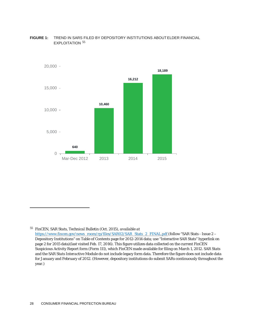

#### **FIGURE 1:** TREND IN SARS FILED BY DEPOSITORY INSTITUTIONS ABOUTELDER FINANCIAL EXPLOITATION [55](#page-28-0)

<span id="page-28-0"></span><sup>55</sup> FinCEN, *SAR Stats, Technical Bulletin* (Oct. 2015), *available at*  [https://www.fincen.gov/news\\_room/rp/files/SAR02/SAR\\_Stats\\_2\\_FINAL.pdf \(](https://www.fincen.gov/news_room/rp/files/SAR02/SAR_Stats_2_FINAL.pdf)follow "SAR Stats - Issue 2 – Depository Institutions" on Table of Contents page for 2012-2014 data; use "Interactive SAR Stats" hyperlink on page 2 for 2015 data)(last visited Feb. 17, 2016). This figure utilizes data collected on the current FinCEN Suspicious Activity Report form (Form 111), which FinCEN made available for filing on March 1, 2012. *SAR Stats*  and the *SAR Stats Interactive Module* do not include legacy form data. Therefore the figure does not include data for January and February of 2012. (However, depository institutions do submit SARs continuously throughout the year.)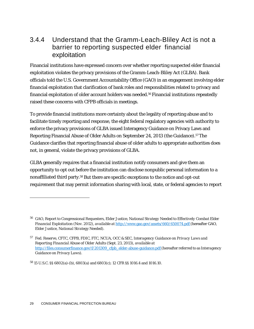### 3.4.4 Understand that the Gramm-Leach-Bliley Act is not a barrier to reporting suspected elder financial exploitation

Financial institutions have expressed concern over whether reporting suspected elder financial exploitation violates the privacy provisions of the Gramm-Leach-Bliley Act (GLBA). Bank officials told the U.S. Government Accountability Office (GAO) in an engagement involving elder financial exploitation that clarification of bank roles and responsibilities related to privacy and financial exploitation of older account holders was needed[.56](#page-29-0) Financial institutions repeatedly raised these concerns with CFPB officials in meetings.

To provide financial institutions more certainty about the legality of reporting abuse and to facilitate timely reporting and response, the eight federal regulatory agencies with authority to enforce the privacy provisions of GLBA issued Interagency Guidance on Privacy Laws and Reporting Financial Abuse of Older Adults on September 24, 2013 (the Guidance)[.57T](#page-29-1)he Guidance clarifies that reporting financial abuse of older adults to appropriate authorities does not, in general, violate the privacy provisions of GLBA.

GLBA generally requires that a financial institution notify consumers and give them an opportunity to opt out before the institution can disclose nonpublic personal information to a nonaffiliated third party.<sup>58</sup> But there are specific exceptions to the notice and opt-out requirement that may permit information sharing with local, state, or federal agencies to report

<span id="page-29-2"></span>58 15 U.S.C. §§ 6802(a)-(b), 6803(a) and 6803(c); 12 CFR §§ 1016.4 and 1016.10.

<span id="page-29-0"></span><sup>56</sup> GAO, Report to Congressional Requesters, *Elder Justice, National Strategy Needed to Effectively Combat Elder Financial Exploitation* (Nov. 2012), *available at* [http://www.gao.gov/assets/660/650074.pdf \(](http://www.gao.gov/assets/660/650074.pdf)hereafter GAO, *Elder Justice, National Strategy Needed*).

<span id="page-29-1"></span><sup>57</sup> Fed. Reserve, CFTC, CFPB, FDIC, FTC, NCUA, OCC & SEC, *Interagency Guidance on Privacy Laws and Reporting Financial Abuse of Older Adults* (Sept. 23, 2013), *available at*  [http://files.consumerfinance.gov/f/201309\\_cfpb\\_elder-abuse-guidance.pdf\(](http://files.consumerfinance.gov/f/201309_cfpb_elder-abuse-guidance.pdf)hereafter referred to as *Interagency Guidance on Privacy Laws*).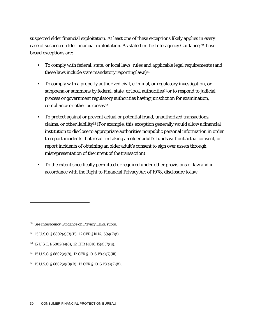suspected elder financial exploitation. At least one of these exceptions likely applies in every case of suspected elder financial exploitation. As stated in the Interagency Guidance[,59](#page-30-0) those broad exceptions are:

- To comply with federal, state, or local laws, rules and applicable legal requirements (and these laws include state mandatory reporting laws) $60$
- To comply with a properly authorized civil, criminal, or regulatory investigation, or subpoena or summons by federal, state, or local authorities<sup>61</sup> or to respond to judicial process or government regulatory authorities having jurisdiction for examination, compliance or other purposes<sup>62</sup>
- To protect against or prevent actual or potential fraud, unauthorized transactions, claims, or other liability<sup>63</sup> (For example, this exception generally would allow a financial institution to disclose to appropriate authorities nonpublic personal information in order to report incidents that result in taking an older adult's funds without actual consent, or report incidents of obtaining an older adult's consent to sign over assets through misrepresentation of the intent of the transaction)
- To the extent specifically permitted or required under other provisions of law and in accordance with the Right to Financial Privacy Act of 1978, disclosure tolaw

<span id="page-30-0"></span><sup>59</sup> See Interagency Guidance on Privacy Laws, supra.

<span id="page-30-1"></span><sup>60 15</sup> U.S.C. § 6802(e)(3)(B); 12 CFR §1016.15(a)(7)(i).

<span id="page-30-2"></span><sup>61 15</sup> U.S.C. § 6802(e)(8); 12 CFR §1016.15(a)(7)(ii).

<span id="page-30-3"></span><sup>62 15</sup> U.S.C. § 6802(e)(8); 12 CFR § 1016.15(a)(7)(iii).

<span id="page-30-4"></span><sup>63 15</sup> U.S.C. § 6802(e)(3)(B); 12 CFR § 1016.15(a)(2)(ii).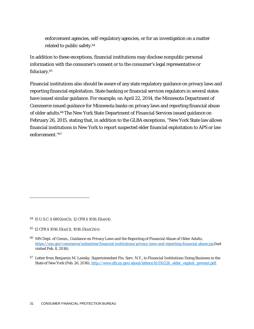enforcement agencies, self-regulatory agencies, or for an investigation on a matter related to public safety[.64](#page-31-0)

In addition to these exceptions, financial institutions may disclose nonpublic personal information with the consumer's consent or to the consumer's legal representative or fiduciary[.65](#page-31-1)

Financial institutions also should be aware of any state regulatory guidance on privacy laws and reporting financial exploitation. State banking or financial services regulators in several states have issued similar guidance. For example, on April 22, 2014, the Minnesota Department of Commerce issued guidance for Minnesota banks on privacy laws and reporting financial abuse of older adults.<sup>66</sup>The New York State Department of Financial Services issued guidance on February 26, 2015, stating that, in addition to the GLBA exceptions, "New York State law allows financial institutions in New York to report suspected elder financial exploitation to APS or law enforcement.["67](#page-31-3)

<span id="page-31-0"></span><sup>64 15</sup> U.S.C. § 6802(e)(5); 12 CFR § 1016.15(a)(4).

<span id="page-31-1"></span> $65$  12 CFR § 1016.15(a)(1), 1016.15(a)(2)(v).

<span id="page-31-2"></span><sup>66</sup> MN Dept. of Comm., Guidance on Privacy Laws and the Reporting of Financial Abuse of Older Adults, [https://mn.gov/commerce/industries/financial-institutions/privacy-laws-and-reporting-financial-abuse.jsp\(](https://mn.gov/commerce/industries/financial-institutions/privacy-laws-and-reporting-financial-abuse.jsp)last visited Feb. 8, 2016).

<span id="page-31-3"></span><sup>&</sup>lt;sup>67</sup> Letter from Benjamin M. Lawsky, Superintendent Fin. Serv. N.Y., to Financial Institutions Doing Business in the State of New York (Feb. 26, 2016), [http://www.dfs.ny.gov/about/letters/ltr150226\\_elder\\_exploit\\_prevent.pdf.](http://www.dfs.ny.gov/about/letters/ltr150226_elder_exploit_prevent.pdf)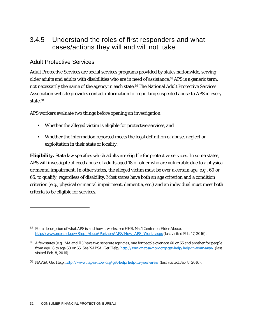## 3.4.5 Understand the roles of first responders and what cases/actions they will and will not take

#### Adult Protective Services

Adult Protective Services are social services programs provided by states nationwide, serving older adults and adults with disabilities who are in need of assistance.<sup>68</sup> APS is a generic term, not necessarily the name of the agency in each state.<sup>69</sup> The National Adult Protective Services Association website provides contact information for reporting suspected abuse to APS in every state[.70](#page-32-2)

APS workers evaluate two things before opening an investigation:

- Whether the alleged victim is eligible for protective services,and
- Whether the information reported meets the legal definition of abuse, neglect or exploitation in their state or locality.

**Eligibility.** State law specifies which adults are eligible for protective services. In some states, APS will investigate alleged abuse of adults aged 18 or older who are vulnerable due to a physical or mental impairment. In other states, the alleged victim must be over a certain age, e.g., 60 or 65, to qualify, regardless of disability. Most states have both an age criterion and a condition criterion (e.g., physical or mental impairment, dementia, etc.) and an individual must meet both criteria to be eligible for services.

<span id="page-32-0"></span><sup>68</sup> For a description of what APS is and how it works, *see* HHS, Nat'l Center on Elder Abuse, [http://www.ncea.acl.gov/Stop\\_Abuse/Partners/APS/How\\_APS\\_Works.aspx](http://www.ncea.acl.gov/Stop_Abuse/Partners/APS/How_APS_Works.aspx) (last visited Feb. 17, 2016).

<span id="page-32-1"></span> $69$  A few states (e.g., MA and IL) have two separate agencies, one for people over age 60 or 65 and another for people from age 18 to age 60 or 65. *See* NAPSA, Get Help, [http://www.napsa-now.org/get-help/help-in-your-area/ \(](http://www.napsa-now.org/get-help/help-in-your-area/)last visited Feb. 8, 2016).

<span id="page-32-2"></span><sup>&</sup>lt;sup>70</sup> NAPSA, Get Help, <http://www.napsa-now.org/get-help/help-in-your-area/> (last visited Feb. 8, 2016).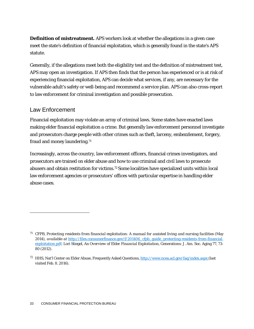**Definition of mistreatment.** APS workers look at whether the allegations in a given case meet the state's definition of financial exploitation, which is generally found in the state's APS statute.

Generally, if the allegations meet both the eligibility test and the definition of mistreatment test, APS may open an investigation. If APS then finds that the person has experienced or is at risk of experiencing financial exploitation, APS can decide what services, if any, are necessary for the vulnerable adult's safety or well-being and recommend a service plan. APS can also cross-report to law enforcement for criminal investigation and possible prosecution.

#### Law Enforcement

Financial exploitation may violate an array of criminal laws. Some states have enacted laws making elder financial exploitation a crime. But generally law enforcement personnel investigate and prosecutors charge people with other crimes such as theft, larceny, embezzlement, forgery, fraud and money laundering.<sup>71</sup>

Increasingly, across the country, law enforcement officers, financial crimes investigators, and prosecutors are trained on elder abuse and how to use criminal and civil laws to prosecute abusers and obtain restitution for victims[.72](#page-33-1) Some localities have specialized units within local law enforcement agencies or prosecutors' offices with particular expertise in handling elder abuse cases.

<span id="page-33-0"></span><sup>71</sup> CFPB, *Protecting residents from financial exploitation: A manual for assisted living and nursing facilities* (May 2014), *available at* [http://files.consumerfinance.gov/f/201406\\_cfpb\\_guide\\_protecting-residents-from-financial](http://files.consumerfinance.gov/f/201406_cfpb_guide_protecting-residents-from-financial-exploitation.pdf)[exploitation.pdf;](http://files.consumerfinance.gov/f/201406_cfpb_guide_protecting-residents-from-financial-exploitation.pdf) Lori Stiegel, *An Overview of Elder Financial Exploitation*, Generations: J. Am. Soc. Aging 77, 73- 80 (2012).

<span id="page-33-1"></span><sup>72</sup> HHS, Nat'l Center on Elder Abuse, Frequently Asked Questions, <http://www.ncea.acl.gov/faq/index.aspx> (last visited Feb. 8. 2016).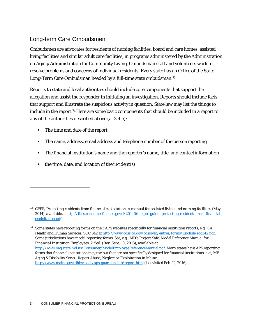#### Long-term Care Ombudsmen

Ombudsmen are advocates for residents of nursing facilities, board and care homes, assisted living facilities and similar adult care facilities, in programs administered by the Administration on Aging/Administration for Community Living. Ombudsman staff and volunteers work to resolve problems and concerns of individual residents. Every state has an Office of the State Long-Term Care Ombudsman headed by a full-time state ombudsman[.73](#page-34-0)

Reports to state and local authorities should include core components that support the allegation and assist the responder in initiating an investigation. Reports should include facts that support and illustrate the suspicious activity in question. State law may list the things to include in the report[.74](#page-34-1) Here are some basic components that should be included in a report to any of the authorities described above (at 3.4.5):

- The time and date of the report
- **The name, address, email address and telephone number of the person reporting**
- The financial institution's name and the reporter's name, title, and contactinformation
- $\blacksquare$  the time, date, and location of the incident(s)

<span id="page-34-0"></span><sup>73</sup> CFPB, *Protecting residents from financial exploitation, A manual for assisted living and nursing facilities* (May 2014), *available at* [http://files.consumerfinance.gov/f/201406\\_cfpb\\_guide\\_protecting-residents-from-financial](http://files.consumerfinance.gov/f/201406_cfpb_guide_protecting-residents-from-financial-exploitation.pdf)[exploitation.pdf.](http://files.consumerfinance.gov/f/201406_cfpb_guide_protecting-residents-from-financial-exploitation.pdf)

<span id="page-34-1"></span><sup>&</sup>lt;sup>74</sup> Some states have reporting forms on their APS websites specifically for financial institution reports, e.g., CA Health and Human Services, SOC 342 a[t http://www.cdss.ca.gov/cdssweb/entres/forms/English/soc342.pdf.](http://www.cdss.ca.gov/cdssweb/entres/forms/English/soc342.pdf) Some jurisdictions have model reporting forms. *See*, e.g., MD's Project Safe, *Model Reference Manual for Financial Institution Employees*, 2nd ed. (Rev. Sept. 10, 2013), *available at*  [http://www.oag.state.md.us/Consumer/ModelEmployeeReferenceManual.pdf.](http://www.oag.state.md.us/Consumer/ModelEmployeeReferenceManual.pdf) Many states have APS reporting forms that financial institutions may use but that are not specifically designed for financial institutions, e.g., ME Aging & Disability Servs., *Report Abuse, Neglect or Exploitation in Maine*, [http://www.maine.gov/dhhs/oads/aps-guardianship/report.html\(](http://www.maine.gov/dhhs/oads/aps-guardianship/report.html)last visited Feb. 12, 2016).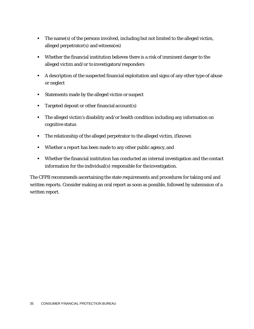- The name(s) of the persons involved, including but not limited to the alleged victim, alleged perpetrator(s) and witness(es)
- Whether the financial institution believes there is a risk of imminent danger to the alleged victim and/or to investigators/responders
- A description of the suspected financial exploitation and signs of any other type of abuse or neglect
- **Statements made by the alleged victim or suspect**
- Targeted deposit or other financial account(s)
- The alleged victim's disability and/or health condition including any information on cognitive status
- The relationship of the alleged perpetrator to the alleged victim, ifknown
- Whether a report has been made to any other public agency, and
- Whether the financial institution has conducted an internal investigation and the contact information for the individual(s) responsible for theinvestigation.

The CFPB recommends ascertaining the state requirements and procedures for taking oral and written reports. Consider making an oral report as soon as possible, followed by submission of a written report.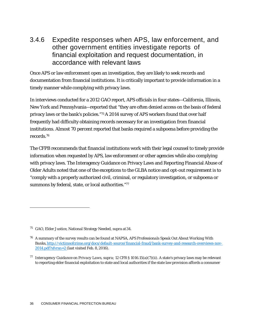### 3.4.6 Expedite responses when APS, law enforcement, and other government entities investigate reports of financial exploitation and request documentation, in accordance with relevant laws

Once APS or law enforcement open an investigation, they are likely to seek records and documentation from financial institutions. It is critically important to provide information in a timely manner while complying with privacy laws.

In interviews conducted for a 2012 GAO report, APS officials in four states—California, Illinois, New York and Pennsylvania—reported that "they are often denied access on the basis of federal privacy laws or the bank's policies.["75A](#page-36-0) 2014 survey of APS workers found that over half frequently had difficulty obtaining records necessary for an investigation from financial institutions. Almost 70 percent reported that banks required a subpoena before providing the records[.76](#page-36-1)

The CFPB recommends that financial institutions work with their legal counsel to timely provide information when requested by APS, law enforcement or other agencies while also complying with privacy laws. The Interagency Guidance on Privacy Laws and Reporting Financial Abuse of Older Adults noted that one of the exceptions to the GLBA notice and opt-out requirement is to "comply with a properly authorized civil, criminal, or regulatory investigation, or subpoena or summons by federal, state, or local authorities.["77](#page-36-2)

<span id="page-36-0"></span><sup>75</sup> GAO, Elder Justice, National Strategy Needed, supra at34.

<span id="page-36-1"></span><sup>76</sup> A summary of the survey results can be found at NAPSA, *APS Professionals Speak Out About Working With Banks*[,http://victimsofcrime.org/docs/default-source/financial-fraud/bank-survey-and-research-overviews-nov-](http://victimsofcrime.org/docs/default-source/financial-fraud/bank-survey-and-research-overviews-nov-2014.pdf?sfvrsn=2)[2014.pdf?sfvrsn=2 \(](http://victimsofcrime.org/docs/default-source/financial-fraud/bank-survey-and-research-overviews-nov-2014.pdf?sfvrsn=2)last visited Feb. 8, 2016).

<span id="page-36-2"></span><sup>77</sup> *Interagency Guidance on Privacy Laws*, *supra*; 12 CFR § 1016.15(a)(7)(ii). A state's privacy laws may be relevant to reporting elder financial exploitation to state and local authorities if the state law provision affords a consumer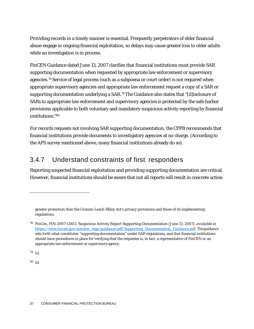Providing records in a timely manner is essential. Frequently perpetrators of elder financial abuse engage in ongoing financial exploitation, so delays may cause greater loss to older adults while an investigation is in process.

FinCEN Guidance dated June 13, 2007 clarifies that financial institutions must provide SAR supporting documentation when requested by appropriate law enforcement or supervisory agencies[.78](#page-37-0) Service of legal process (such as a subpoena or court order) is not required when appropriate supervisory agencies and appropriate law enforcement request a copy of a SAR or supporting documentation underlying a SAR[.79T](#page-37-1)he Guidance also states that "[d]isclosure of SARs to appropriate law enforcement and supervisory agencies is protected by the safe harbor provisions applicable to both voluntary and mandatory suspicious activity reporting by financial institutions.["80](#page-37-2)

For records requests not involving SAR supporting documentation, the CFPB recommends that financial institutions provide documents to investigatory agencies at no charge. (According to the APS survey mentioned above, many financial institutions already do so).

## 3.4.7 Understand constraints of first responders

Reporting suspected financial exploitation and providing supporting documentation are critical. However, financial institutions should be aware that not all reports will result in concrete action

<span id="page-37-1"></span><sup>79</sup> Id.

<span id="page-37-2"></span><sup>80</sup> Id.

greater protection than the Gramm-Leach-Bliley Act's privacy provisions and those of its implementing regulations.

<span id="page-37-0"></span><sup>78</sup> FinCen, FIN-2007-G003, Suspicious Activity Report Supporting Documentation (June 13, 2007), *available at*  [https://www.fincen.gov/statutes\\_regs/guidance/pdf/Supporting\\_Documentation\\_Guidance.pdf.](https://www.fincen.gov/statutes_regs/guidance/pdf/Supporting_Documentation_Guidance.pdf) Theguidance sets forth what constitutes "supporting documentation" under SAR regulations, and that financial institutions should have procedures in place for verifying that the requester is, in fact, a representative of FinCEN or an appropriate law enforcement or supervisoryagency.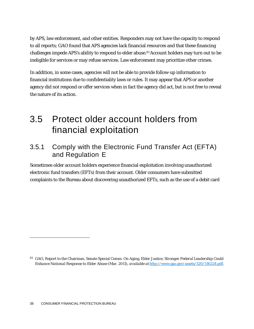by APS, law enforcement, and other entities. Responders may not have the capacity to respond to all reports; GAO found that APS agencies lack financial resources and that these financing challenges impede APS's ability to respond to elder abuse.<sup>81</sup> Account holders may turn out to be ineligible for services or may refuse services. Law enforcement may prioritize other crimes.

In addition, in some cases, agencies will not be able to provide follow-up information to financial institutions due to confidentiality laws or rules. It may appear that APS or another agency did not respond or offer services when in fact the agency did act, but is not free to reveal the nature of its action.

## <span id="page-38-0"></span>3.5 Protect older account holders from financial exploitation

### 3.5.1 Comply with the Electronic Fund Transfer Act (EFTA) and Regulation E

Sometimes older account holders experience financial exploitation involving unauthorized electronic fund transfers (EFTs) from their account. Older consumers have submitted complaints to the Bureau about discovering unauthorized EFTs, such as the use of a debit card

<span id="page-38-1"></span><sup>81</sup> GAO, Report to the Chairman, Senate Special Comm. On Aging, *Elder Justice, Stronger Federal Leadership Could Enhance National Response to Elder Abuse* (Mar. 2011), *available at* [http://www.gao.gov/assets/320/316224.pdf.](http://www.gao.gov/assets/320/316224.pdf)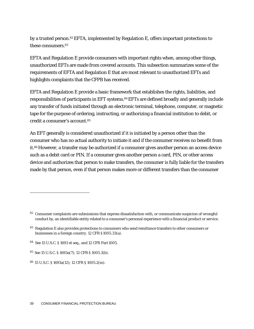by a trusted person[.82E](#page-39-0)FTA, implemented by Regulation E, offers important protections to these consumers[.83](#page-39-1)

EFTA and Regulation E provide consumers with important rights when, among other things, unauthorized EFTs are made from covered accounts. This subsection summarizes some of the requirements of EFTA and Regulation E that are most relevant to unauthorized EFTs and highlights complaints that the CFPB has received.

EFTA and Regulation E provide a basic framework that establishes the rights, liabilities, and responsibilities of participants in EFT systems[.84E](#page-39-2)FTs are defined broadly and generally include any transfer of funds initiated through an electronic terminal, telephone, computer, or magnetic tape for the purpose of ordering, instructing, or authorizing a financial institution to debit, or credit a consumer's account[.85](#page-39-3)

An EFT generally is considered unauthorized if it is initiated by a person other than the consumer who has no actual authority to initiate it and if the consumer receives no benefit from it[.86](#page-39-4) However, a transfer may be authorized if a consumer gives another person an access device such as a debit card or PIN. If a consumer gives another person a card, PIN, or other access device and authorizes that person to make transfers, the consumer is fully liable for the transfers made by that person, even if that person makes more or different transfers than the consumer

<span id="page-39-0"></span><sup>82</sup> Consumer complaints are submissions that express dissatisfaction with, or communicate suspicion of wrongful conduct by, an identifiable entity related to a consumer's personal experience with a financial product or service.

<span id="page-39-1"></span><sup>83</sup> Regulation E also provides protections to consumers who send remittance transfers to other consumers or businesses in a foreign country. 12 CFR §1005.33(a).

<span id="page-39-2"></span>*<sup>84</sup> See* 15 U.S.C. § 1693 *et seq.*, and 12 CFR Part 1005*.*

<span id="page-39-3"></span><sup>85</sup>*See* 15 U.S.C. § 1693a(7); 12 CFR § 1005.3(b).

<span id="page-39-4"></span><sup>86 15</sup> U.S.C. § 1693a(12); 12 CFR § 1005.2(m).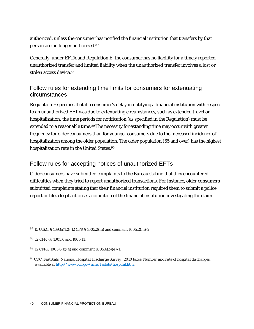authorized, unless the consumer has notified the financial institution that transfers by that person are no longer authorized[.87](#page-40-0)

Generally, under EFTA and Regulation E, the consumer has no liability for a timely reported unauthorized transfer and limited liability when the unauthorized transfer involves a lost or stolen access device[.88](#page-40-1)

#### Follow rules for extending time limits for consumers for extenuating circumstances

Regulation E specifies that if a consumer's delay in notifying a financial institution with respect to an unauthorized EFT was due to extenuating circumstances, such as extended travel or hospitalization, the time periods for notification (as specified in the Regulation) must be extended to a reasonable time.<sup>89</sup>The necessity for extending time may occur with greater frequency for older consumers than for younger consumers due to the increased incidence of hospitalization among the older population. The older population (65 and over) has the highest hospitalization rate in the United States.<sup>90</sup>

#### Follow rules for accepting notices of unauthorized EFTs

Older consumers have submitted complaints to the Bureau stating that they encountered difficulties when they tried to report unauthorized transactions. For instance, older consumers submitted complaints stating that their financial institution required them to submit a police report or file a legal action as a condition of the financial institution investigating the claim.

<span id="page-40-0"></span><sup>87 15</sup> U.S.C. § 1693a(12); 12 CFR § 1005.2(m) and comment 1005.2(m)-2.

<span id="page-40-1"></span><sup>88 12</sup> CFR §§ 1005.6 and 1005.11.

<span id="page-40-2"></span><sup>89 12</sup> CFR § 1005.6(b)(4) and comment 1005.6(b)(4)-1.

<span id="page-40-3"></span><sup>90</sup> CDC, FastStats, *National Hospital Discharge Survey: 2010 table, Number and rate of hospital discharges*, *available at* [http://www.cdc.gov/nchs/fastats/hospital.htm.](http://www.cdc.gov/nchs/fastats/hospital.htm)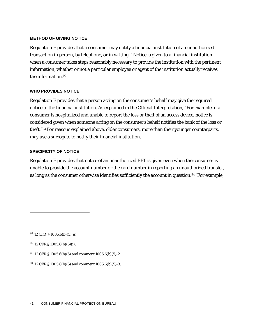#### **METHOD OF GIVING NOTICE**

Regulation E provides that a consumer may notify a financial institution of an unauthorized transaction in person, by telephone, or in writing.<sup>91</sup> Notice is given to a financial institution when a consumer takes steps reasonably necessary to provide the institution with the pertinent information, whether or not a particular employee or agent of the institution actually receives the information[.92](#page-41-1)

#### **WHO PROVIDES NOTICE**

Regulation E provides that a person acting on the consumer's behalf may give the required notice to the financial institution. As explained in the Official Interpretation, "For example, if a consumer is hospitalized and unable to report the loss or theft of an access device, notice is considered given when someone acting on the consumer's behalf notifies the bank of the loss or theft.["93](#page-41-2) For reasons explained above, older consumers, more than their younger counterparts, may use a surrogate to notify their financial institution.

#### **SPECIFICITY OF NOTICE**

Regulation E provides that notice of an unauthorized EFT is given even when the consumer is unable to provide the account number or the card number in reporting an unauthorized transfer, as long as the consumer otherwise identifies sufficiently the account in question[.94](#page-41-3) "For example,

<span id="page-41-3"></span>94 12 CFR § 1005.6(b)(5) and comment 1005.6(b)(5)-3.

<span id="page-41-0"></span><sup>91 12</sup> CFR § 1005.6(b)(5)(ii).

<span id="page-41-1"></span><sup>92 12</sup> CFR § 1005.6(b)(5)(i).

<span id="page-41-2"></span><sup>93 12</sup> CFR § 1005.6(b)(5) and comment 1005.6(b)(5)-2.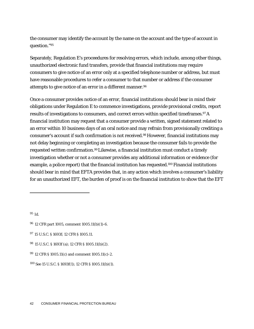the consumer may identify the account by the name on the account and the type of account in question.["95](#page-42-0)

Separately, Regulation E's proceedures for resolving errors, which include, among other things, unauthorized electronic fund transfers, provide that financial institutions may require consumers to give notice of an error only at a specified telephone number or address, but must have reasonable procedures to refer a consumer to that number or address if the consumer attempts to give notice of an error in a different manner[.96](#page-42-1)

Once a consumer provides notice of an error, financial institutions should bear in mind their obligations under Regulation E to commence investigations, provide provisional credits, report results of investigations to consumers, and correct errors within specified timeframes.<sup>97</sup> A financial institution may request that a consumer provide a written, signed statement related to an error within 10 business days of an oral notice and may refrain from provisionally crediting a consumer's account if such confirmation is not received[.98](#page-42-3) However, financial institutions may not delay beginning or completing an investigation because the consumer fails to provide the requested written confirmation[.99L](#page-42-4)ikewise, a financial institution must conduct a timely investigation whether or not a consumer provides any additional information or evidence (for example, a police report) that the financial institution has requested[.100](#page-42-5) Financial institutions should bear in mind that EFTA provides that, in any action which involves a consumer's liability for an unauthorized EFT, the burden of proof is on the financial institution to show that the EFT

<span id="page-42-0"></span>95 Id.

<span id="page-42-1"></span><sup>96 12</sup> CFR part 1005, comment 1005.11(b)(1)-6.

<span id="page-42-2"></span><sup>97 15</sup> U.S.C. § 1693f; 12 CFR § 1005.11.

<span id="page-42-3"></span><sup>98 15</sup> U.S.C. § 1693f (a); 12 CFR § 1005.11(b)(2).

<span id="page-42-4"></span><sup>99 12</sup> CFR § 1005.11(c) and comment 1005.11(c)-2.

<span id="page-42-5"></span><sup>100</sup>*See* 15 U.S.C. § 1693f(1); 12 CFR § 1005.11(b)(1).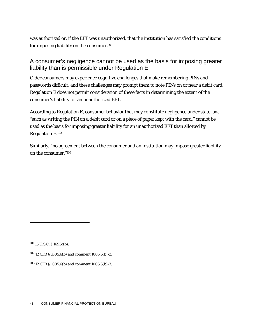was authorized or, if the EFT was unauthorized, that the institution has satisfied the conditions for imposing liability on the consumer[.101](#page-43-0)

#### A consumer's negligence cannot be used as the basis for imposing greater liability than is permissible under Regulation E

Older consumers may experience cognitive challenges that make remembering PINs and passwords difficult, and these challenges may prompt them to note PINs on or near a debit card. Regulation E does not permit consideration of these facts in determining the extent of the consumer's liability for an unauthorized EFT.

According to Regulation E, consumer behavior that may constitute negligence under state law, "such as writing the PIN on a debit card or on a piece of paper kept with the card," cannot be used as the basis for imposing greater liability for an unauthorized EFT than allowed by Regulation E[.102](#page-43-1)

Similarly, "no agreement between the consumer and an institution may impose greater liability on the consumer.["103](#page-43-2)

<span id="page-43-0"></span>101 15 U.S.C. § 1693g(b).

<span id="page-43-1"></span>102 12 CFR § 1005.6(b) and comment 1005.6(b)-2.

<span id="page-43-2"></span>103 12 CFR § 1005.6(b) and comment 1005.6(b)-3.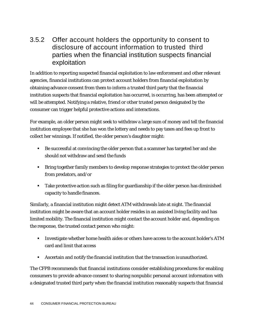### 3.5.2 Offer account holders the opportunity to consent to disclosure of account information to trusted third parties when the financial institution suspects financial exploitation

In addition to reporting suspected financial exploitation to law enforcement and other relevant agencies, financial institutions can protect account holders from financial exploitation by obtaining advance consent from them to inform a trusted third party that the financial institution suspects that financial exploitation has occurred, is occurring, has been attempted or will be attempted. Notifying a relative, friend or other trusted person designated by the consumer can trigger helpful protective actions and interactions.

For example, an older person might seek to withdraw a large sum of money and tell the financial institution employee that she has won the lottery and needs to pay taxes and fees up front to collect her winnings. If notified, the older person's daughter might:

- Be successful at convincing the older person that a scammer has targeted her and she should not withdraw and send the funds
- **Bring together family members to develop response strategies to protect the older person** from predators, and/or
- Take protective action such as filing for guardianship if the older person has diminished capacity to handle finances.

Similarly, a financial institution might detect ATM withdrawals late at night. The financial institution might be aware that an account holder resides in an assisted living facility and has limited mobility. The financial institution might contact the account holder and, depending on the response, the trusted contact person who might:

- **IDED** Investigate whether home health aides or others have access to the account holder's ATM card and limit that access
- Ascertain and notify the financial institution that the transaction isunauthorized.

The CFPB recommends that financial institutions consider establishing procedures for enabling consumers to provide advance consent to sharing nonpublic personal account information with a designated trusted third party when the financial institution reasonably suspects that financial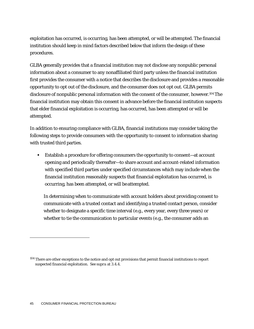exploitation has occurred, is occurring, has been attempted, or will be attempted. The financial institution should keep in mind factors described below that inform the design of these procedures.

GLBA generally provides that a financial institution may not disclose any nonpublic personal information about a consumer to any nonaffiliated third party unless the financial institution first provides the consumer with a notice that describes the disclosure and provides a reasonable opportunity to opt out of the disclosure, and the consumer does not opt out. GLBA permits disclosure of nonpublic personal information with the consent of the consumer, however.<sup>104</sup> The financial institution may obtain this consent in advance before the financial institution suspects that elder financial exploitation is occurring, has occurred, has been attempted or will be attempted.

In addition to ensuring compliance with GLBA, financial institutions may consider taking the following steps to provide consumers with the opportunity to consent to information sharing with trusted third parties.

 Establish a procedure for offering consumers the opportunity to consent—at account opening and periodically thereafter—to share account and account-related information with specified third parties under specified circumstances which may include when the financial institution reasonably suspects that financial exploitation has occurred, is occurring, has been attempted, or will be attempted.

In determining when to communicate with account holders about providing consent to communicate with a trusted contact and identifying a trusted contact person, consider whether to designate a specific time interval (e.g., every year, every three years) or whether to tie the communication to particular events (e.g., the consumer adds an

<span id="page-45-0"></span><sup>&</sup>lt;sup>104</sup> There are other exceptions to the notice and opt out provisions that permit financial institutions to report suspected financial exploitation. *See supra* at 3.4.4.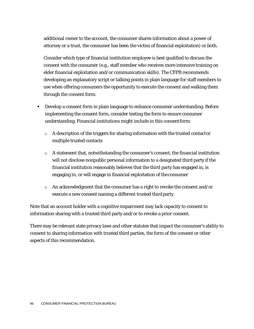additional owner to the account, the consumer shares information about a power of attorney or a trust, the consumer has been the victim of financial exploitation) or both.

Consider which type of financial institution employee is best qualified to discuss the consent with the consumer (e.g., staff member who receives more intensive training on elder financial exploitation and/or communication skills). The CFPB recommends developing an explanatory script or talking points in plain language for staff members to use when offering consumers the opportunity to execute the consent and walking them through the consent form.

- Develop a consent form in plain language to enhance consumer understanding. Before implementing the consent form, consider testing the form to ensure consumer understanding. Financial institutions might include in this consentform:
	- $\Box$  A description of the triggers for sharing information with the trusted contactor multiple trusted contacts
	- $\Box$  A statement that, notwithstanding the consumer's consent, the financial institution will not disclose nonpublic personal information to a designated third party if the financial institution reasonably believes that the third party has engaged in, is engaging in, or will engage in financial exploitation of the consumer
	- $\Box$  An acknowledgment that the consumer has a right to revoke the consent and/or execute a new consent naming a different trusted third party.

Note that an account holder with a cognitive impairment may lack capacity to consent to information sharing with a trusted third party and/or to revoke a prior consent.

There may be relevant state privacy laws and other statutes that impact the consumer's ability to consent to sharing information with trusted third parties, the form of the consent or other aspects of this recommendation.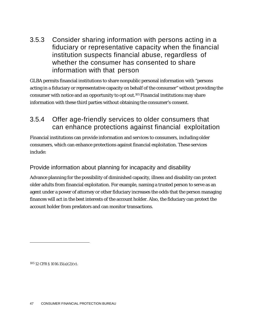3.5.3 Consider sharing information with persons acting in a fiduciary or representative capacity when the financial institution suspects financial abuse, regardless of whether the consumer has consented to share information with that person

GLBA permits financial institutions to share nonpublic personal information with "persons acting in a fiduciary or representative capacity on behalf of the consumer" without providing the consumer with notice and an opportunity to opt out[.105](#page-47-0) Financial institutions may share information with these third parties without obtaining the consumer's consent.

## 3.5.4 Offer age-friendly services to older consumers that can enhance protections against financial exploitation

Financial institutions can provide information and services to consumers, including older consumers, which can enhance protections against financial exploitation. These services include:

#### Provide information about planning for incapacity and disability

Advance planning for the possibility of diminished capacity, illness and disability can protect older adults from financial exploitation. For example, naming a trusted person to serve as an agent under a power of attorney or other fiduciary increases the odds that the person managing finances will act in the best interests of the account holder. Also, the fiduciary can protect the account holder from predators and can monitor transactions.

<span id="page-47-0"></span>105 12 CFR § 1016.15(a)(2)(v).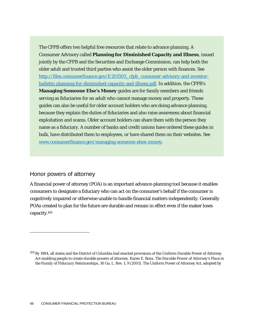The CFPB offers two helpful free resources that relate to advance planning. A Consumer Advisory called **Planning for Diminished Capacity and Illness**, issued jointly by the CFPB and the Securities and Exchange Commission, can help both the older adult and trusted third parties who assist the older person with finances. *See*  [http://files.consumerfinance.gov/f/201505\\_cfpb\\_consumer-advisory-and-investor](http://files.consumerfinance.gov/f/201505_cfpb_consumer-advisory-and-investor-bulletin-planning-for-diminished-capacity-and-illness.pdf)[bulletin-planning-for-diminished-capacity-and-illness.pdf.](http://files.consumerfinance.gov/f/201505_cfpb_consumer-advisory-and-investor-bulletin-planning-for-diminished-capacity-and-illness.pdf) In addition, the CFPB's **Managing Someone Else's Money** guides are for family members and friends serving as fiduciaries for an adult who cannot manage money and property. These guides can also be useful for older account holders who are doing advance planning, because they explain the duties of fiduciaries and also raise awareness about financial exploitation and scams. Older account holders can share them with the person they name as a fiduciary. A number of banks and credit unions have ordered these guides in bulk, have distributed them to employees, or have shared them on their websites. *See*  [www.consumerfinance.gov/managing-someone-elses-money.](http://www.consumerfinance.gov/managing-someone-elses-money)

#### Honor powers of attorney

A financial power of attorney (POA) is an important advance-planning tool because it enables consumers to designate a fiduciary who can act on the consumer's behalf if the consumer is cognitively impaired or otherwise unable to handle financial matters independently. Generally POAs created to plan for the future are durable and remain in effect even if the maker loses capacit[y.106](#page-48-0)

<span id="page-48-0"></span><sup>106</sup> By 1984, all states and the District of Columbia had enacted provisions of the Uniform Durable Power of Attorney Act enabling people to create durable powers of attorney. Karen E. Boxx, *The Durable Power of Attorney's Place in the Family of Fiduciary Relationships*, 36 Ga. L. Rev. 1, 9 (2001). The Uniform Power of Attorney Act, adopted by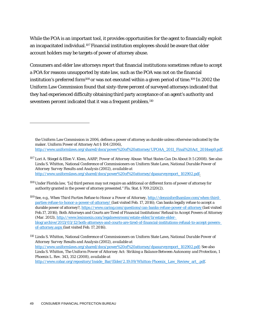While the POA is an important tool, it provides opportunities for the agent to financially exploit an incapacitated individual.<sup>107</sup> Financial institution employees should be aware that older account holders may be targets of power of attorney abuse.

Consumers and elder law attorneys report that financial institutions sometimes refuse to accept a POA for reasons unsupported by state law, such as the POA was not on the financial institution's preferred form<sup>108</sup> or was not executed within a given period of time.<sup>109</sup> In 2002 the Uniform Law Commission found that sixty-three percent of surveyed attorneys indicated that they had experienced difficulty obtaining third party acceptance of an agent's authority and seventeen percent indicated that it was a frequent problem[.110](#page-49-3)

the Uniform Law Commission in 2006, defines a power of attorney as durable unless otherwise indicated by the maker. Uniform Power of Attorney Act § 104 (2006), [http://www.uniformlaws.org/shared/docs/power%20of%20attorney/UPOAA\\_2011\\_Final%20Act\\_2014sep9.pdf.](http://www.uniformlaws.org/shared/docs/power%20of%20attorney/UPOAA_2011_Final%20Act_2014sep9.pdf)

<span id="page-49-1"></span><sup>108</sup> Under Florida law, "[a] third person may not require an additional or different form of power of attorney for authority granted in the power of attorney presented." Fla. Stat. § 709.2120(2).

<span id="page-49-2"></span><sup>109</sup> *See*, e.g., *When Third Parties Refuse to Honor a Power of Attorney*[, http://dennisfordhamlaw.com/when-third](http://dennisfordhamlaw.com/when-third-parties-refuse-to-honor-a-power-of-attorney/)[parties-refuse-to-honor-a-power-of-attorney/ \(](http://dennisfordhamlaw.com/when-third-parties-refuse-to-honor-a-power-of-attorney/)last visited Feb. 17, 2016); Can banks legally refuse to accept a durable power of attorney?[, https://www.caring.com/questions/can-banks-refuse-power-of-attorney \(](https://www.caring.com/questions/can-banks-refuse-power-of-attorney)last visited Feb.17, 2016); Both Attorneys and Courts are Tired of Financial Institutions' Refusal to Accept Powers of Attorney (Mar. 2013)[, http://www.lexisnexis.com/legalnewsroom/estate-elder/b/estate-elder](http://www.lexisnexis.com/legalnewsroom/estate-elder/b/estate-elder-blog/archive/2013/03/12/both-attorneys-and-courts-are-tired-of-financial-institutions-refusal-to-accept-powers-of-attorney.aspx)[blog/archive/2013/03/12/both-attorneys-and-courts-are-tired-of-financial-institutions-refusal-to-accept-powers](http://www.lexisnexis.com/legalnewsroom/estate-elder/b/estate-elder-blog/archive/2013/03/12/both-attorneys-and-courts-are-tired-of-financial-institutions-refusal-to-accept-powers-of-attorney.aspx)[of-attorney.aspx \(](http://www.lexisnexis.com/legalnewsroom/estate-elder/b/estate-elder-blog/archive/2013/03/12/both-attorneys-and-courts-are-tired-of-financial-institutions-refusal-to-accept-powers-of-attorney.aspx)last visited Feb. 17,2016).

<span id="page-49-3"></span><sup>110</sup> Linda S. Whitton, National Conference of Commissioners on Uniform State Laws, *National Durable Power of Attorney Survey Results and Analysis* (2002), *available at*  [http://www.uniformlaws.org/shared/docs/power%20of%20attorney/dpasurveyreport\\_102902.pdf;](http://www.uniformlaws.org/shared/docs/power%20of%20attorney/dpasurveyreport_102902.pdf) *See* also Linda S. Whitton, *The Uniform Power of Attorney Act: Striking a Balance Between Autonomy and Protection*, 1 Phoenix L. Rev. 343, 352 (2008), *available at*  [http://www.cobar.org/repository/Inside\\_Bar/Elder/2.19.09/Whitton-Phoenix\\_Law\\_Review\\_art\\_.pdf.](http://www.cobar.org/repository/Inside_Bar/Elder/2.19.09/Whitton-Phoenix_Law_Review_art_.pdf)

<span id="page-49-0"></span><sup>107</sup> Lori A. Stiegel & Ellen V. Klem, AARP, *Power of Attorney Abuse: What States Can Do About It* 5 (2008). *See also*  Linda S. Whitton, National Conference of Commissioners on Uniform State Laws, *National Durable Power of Attorney Survey Results and Analysis* (2002), *available at*  [http://www.uniformlaws.org/shared/docs/power%20of%20attorney/dpasurveyreport\\_102902.pdf.](http://www.uniformlaws.org/shared/docs/power%20of%20attorney/dpasurveyreport_102902.pdf)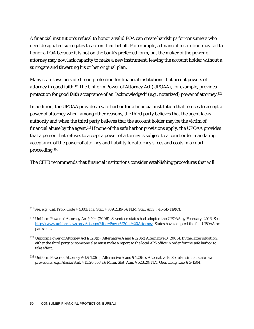A financial institution's refusal to honor a valid POA can create hardships for consumers who need designated surrogates to act on their behalf. For example, a financial institution may fail to honor a POA because it is not on the bank's preferred form, but the maker of the power of attorney may now lack capacity to make a new instrument, leaving the account holder without a surrogate and thwarting his or her original plan.

Many state laws provide broad protection for financial institutions that accept powers of attorney in good faith[.111T](#page-50-0)he Uniform Power of Attorney Act (UPOAA), for example, provides protection for good faith acceptance of an "acknowledged" (e.g., notarized) power of attorney[.112](#page-50-1)

In addition, the UPOAA provides a safe harbor for a financial institution that refuses to accept a power of attorney when, among other reasons, the third party believes that the agent lacks authority and when the third party believes that the account holder may be the victim of financial abuse by the agent[.113](#page-50-2) If none of the safe harbor provisions apply, the UPOAA provides that a person that refuses to accept a power of attorney is subject to a court order mandating acceptance of the power of attorney and liability for attorney's fees and costs in a court proceeding[.114](#page-50-3)

The CFPB recommends that financial institutions consider establishing procedures that will

<span id="page-50-0"></span><sup>111</sup>*See*, e.g., Cal. Prob. Code § 4303; Fla. Stat. § 709.2119(5); N.M. Stat. Ann. § 45-5B-119(C).

<span id="page-50-1"></span><sup>112</sup> Uniform Power of Attorney Act § 104 (2006). Seventeen states had adopted the UPOAA by February, 2016. *See*  [http://www.uniformlaws.org/Act.aspx?title=Power%20of%20Attorney.](http://www.uniformlaws.org/Act.aspx?title=Power%20of%20Attorney) States have adopted the full UPOAA or parts of it.

<span id="page-50-2"></span><sup>113</sup> Uniform Power of Attorney Act § 120(b), Alternative A and § 120(c) Alternative B (2006). In the latter situation, either the third party or someone else must make a report to the local APS office in order for the safe harbor to take effect.

<span id="page-50-3"></span><sup>114</sup> Uniform Power of Attorney Act § 120(c), Alternative A and § 120(d), Alternative B. *See* also similar state law provisions, e.g., Alaska Stat. § 13.26.353(c); Minn. Stat. Ann. § 523.20; N.Y. Gen. Oblig. Law § 5-1504.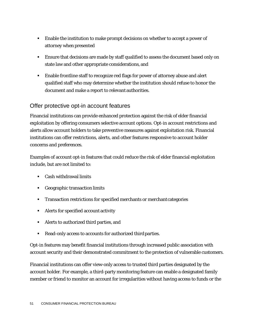- Enable the institution to make prompt decisions on whether to accept a power of attorney when presented
- **Ensure that decisions are made by staff qualified to assess the document based only on** state law and other appropriate considerations, and
- Enable frontline staff to recognize red flags for power of attorney abuse and alert qualified staff who may determine whether the institution should refuse to honor the document and make a report to relevant authorities.

#### Offer protective opt-in account features

Financial institutions can provide enhanced protection against the risk of elder financial exploitation by offering consumers selective account options. Opt-in account restrictions and alerts allow account holders to take preventive measures against exploitation risk. Financial institutions can offer restrictions, alerts, and other features responsive to account holder concerns and preferences.

Examples of account opt-in features that could reduce the risk of elder financial exploitation include, but are not limited to:

- Cash withdrawal limits
- Geographic transaction limits
- Transaction restrictions for specified merchants or merchantcategories
- Alerts for specified account activity
- Alerts to authorized third parties, and
- Read-only access to accounts for authorized third parties.

Opt-in features may benefit financial institutions through increased public association with account security and their demonstrated commitment to the protection of vulnerable customers.

Financial institutions can offer view-only access to trusted third parties designated by the account holder. For example, a third-party monitoring feature can enable a designated family member or friend to monitor an account for irregularities without having access to funds or the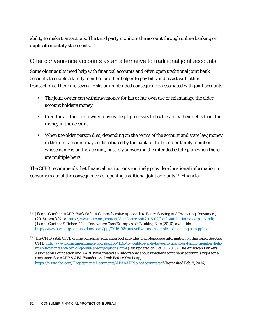ability to make transactions. The third party monitors the account through online banking or duplicate monthly statements.<sup>115</sup>

#### Offer convenience accounts as an alternative to traditional joint accounts

Some older adults need help with financial accounts and often open traditional joint bank accounts to enable a family member or other helper to pay bills and assist with other transactions. There are several risks or unintended consequences associated with joint accounts:

- **The joint owner can withdraw money for his or her own use or mismanage the older** account holder's money
- Creditors of the joint owner may use legal processes to try to satisfy their debts from the money in the account
- **•** When the older person dies, depending on the terms of the account and state law, money in the joint account may be distributed by the bank to the friend or family member whose name is on the account, possibly subverting the intended estate plan when there are multiple heirs.

The CFPB recommends that financial institutions routinely provide educational information to consumers about the consequences of opening traditional joint accounts[.116F](#page-52-1)inancial

<span id="page-52-0"></span><sup>115</sup> Jilenne Gunther, AARP, *Bank Safe: A Comprehensive Approach to Better Serving and Protecting Consumers*, (2016), *available at* [http://www.aarp.org/content/dam/aarp/ppi/2016-02/banksafe-initiative-aarp-ppi.pdf;](http://www.aarp.org/content/dam/aarp/ppi/2016-02/banksafe-initiative-aarp-ppi.pdf) Jilenne Gunther & Robert Neill, *Innovative Case Examples of: Banking Safe* (2016), *available at*  [http://www.aarp.org/content/dam/aarp/ppi/2016-02/innovative-case-examples-of-banking-safe-ppi.pdf.](http://www.aarp.org/content/dam/aarp/ppi/2016-02/innovative-case-examples-of-banking-safe-ppi.pdf)

<span id="page-52-1"></span><sup>116</sup> The CFPB's *Ask CFPB* online consumer education tool provides plain-language information on this topic. *See* Ask CFPB[, http://www.consumerfinance.gov/askcfpb/1145/i-would-be-able-have-my-friend-or-family-member-help](http://www.consumerfinance.gov/askcfpb/1145/i-would-be-able-have-my-friend-or-family-member-help-my-bill-paying-and-banking-what-are-my-options.html)[my-bill-paying-and-banking-what-are-my-options.html](http://www.consumerfinance.gov/askcfpb/1145/i-would-be-able-have-my-friend-or-family-member-help-my-bill-paying-and-banking-what-are-my-options.html) (last updated on Oct. 11, 2013). The American Bankers Association Foundation and AARP have created an infographic about whether a joint bank account is right for a consumer. *See* AARP & ABA Foundation, *Look Before You Leap*, [https://www.aba.com/Engagement/Documents/ABAAARPJointAccounts.pdf\(](https://www.aba.com/Engagement/Documents/ABAAARPJointAccounts.pdf)last visited Feb. 8, 2016).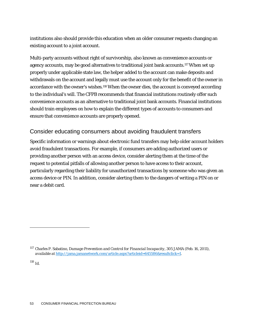institutions also should provide this education when an older consumer requests changing an existing account to a joint account.

Multi-party accounts without right of survivorship, also known as convenience accounts or agency accounts, may be good alternatives to traditional joint bank accounts[.117W](#page-53-0)hen set up properly under applicable state law, the helper added to the account can make deposits and withdrawals on the account and legally must use the account only for the benefit of the owner in accordance with the owner's wishes[.118W](#page-53-1)hen the owner dies, the account is conveyed according to the individual's will. The CFPB recommends that financial institutions routinely offer such convenience accounts as an alternative to traditional joint bank accounts. Financial institutions should train employees on how to explain the different types of accounts to consumers and ensure that convenience accounts are properly opened.

#### Consider educating consumers about avoiding fraudulent transfers

Specific information or warnings about electronic fund transfers may help older account holders avoid fraudulent transactions. For example, if consumers are adding authorized users or providing another person with an access device, consider alerting them at the time of the request to potential pitfalls of allowing another person to have access to their account, particularly regarding their liability for unauthorized transactions by someone who was given an access device or PIN. In addition, consider alerting them to the dangers of writing a PIN on or near a debit card.

<span id="page-53-1"></span> $^{118}$  Id.

<span id="page-53-0"></span><sup>117</sup> Charles P. Sabatino, *Damage Prevention and Control for Financial Incapacity*, 305 JAMA (Feb. 16, 2011), *available at* [http://jama.jamanetwork.com/article.aspx?articleid=645586&resultclick=1.](http://jama.jamanetwork.com/article.aspx?articleid=645586&resultclick=1)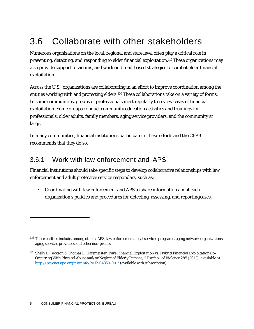# <span id="page-54-0"></span>3.6 Collaborate with other stakeholders

Numerous organizations on the local, regional and state level often play a critical role in preventing, detecting, and responding to elder financial exploitation[.119T](#page-54-1)hese organizations may also provide support to victims, and work on broad-based strategies to combat elder financial exploitation.

Across the U.S., organizations are collaborating in an effort to improve coordination among the entities working with and protecting elders[.120](#page-54-2) These collaborations take on a variety of forms. In some communities, groups of professionals meet regularly to review cases of financial exploitation. Some groups conduct community education activities and trainings for professionals, older adults, family members, aging service providers, and the community at large.

In many communities, financial institutions participate in these efforts and the CFPB recommends that they do so.

### 3.6.1 Work with law enforcement and APS

Financial institutions should take specific steps to develop collaborative relationships with law enforcement and adult protective service responders, such as:

 Coordinating with law enforcement and APS to share information about each organization's policies and procedures for detecting, assessing, and reportingcases.

<span id="page-54-1"></span><sup>119</sup> These entities include, among others, APS, law enforcement, legal services programs, aging network organizations, aging services providers and othernon-profits.

<span id="page-54-2"></span><sup>120</sup> Shelly L. Jackson & Thomas L. Hafemeister, Pure Financial Exploitation vs. Hybrid Financial Exploitation Co-Occurring With Physical Abuse and/or Neglect of Elderly Persons, 2 Psychol. of Violence 285 (2012), *available at*  <http://psycnet.apa.org/psycinfo/2012-04350-001/> (available with subscription).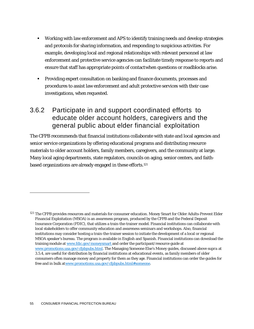- Working with law enforcement and APS to identify training needs and develop strategies and protocols for sharing information, and responding to suspicious activities. For example, developing local and regional relationships with relevant personnel at law enforcement and protective service agencies can facilitate timely response to reports and ensure that staff has appropriate points of contactwhen questions or roadblocks arise.
- Providing expert consultation on banking and finance documents, processes and procedures to assist law enforcement and adult protective services with their case investigations, when requested.

### 3.6.2 Participate in and support coordinated efforts to educate older account holders, caregivers and the general public about elder financial exploitation

The CFPB recommends that financial institutions collaborate with state and local agencies and senior service organizations by offering educational programs and distributing resource materials to older account holders, family members, caregivers, and the community at large. Many local aging departments, state regulators, councils on aging, senior centers, and faithbased organizations are already engaged in these efforts[.121](#page-55-0)

<span id="page-55-0"></span><sup>&</sup>lt;sup>121</sup> The CFPB provides resources and materials for consumer education. Money Smart for Older Adults-Prevent Elder Financial Exploitation (MSOA) is an awareness program, produced by the CFPB and the Federal Deposit Insurance Corporation (FDIC), that utilizes a train-the-trainer model. Financial institutions can collaborate with local stakeholders to offer community education and awareness seminars and workshops. Also, financial institutions may consider hosting a train-the-trainer session to initiate the development of a local or regional MSOA speaker's bureau. The program is available in English and Spanish. Financial institutions can download the training module a[t www.fdic.gov/moneysmart a](http://www.fdic.gov/moneysmart)nd order the participant/resource guide at [www.promotions.usa.gov/cfpbpubs.html.](http://www.promotions.usa.gov/cfpbpubs.html) The Managing Someone Else's Money guides, discussed above *supra* at 3.5.4, are useful for distribution by financial institutions at educational events, as family members of older consumers often manage money and property for them as they age. Financial institutions can order the guides for free and in bulk a[twww.promotions.usa.gov/cfpbpubs.html#someone.](http://www.promotions.usa.gov/cfpbpubs.html#someone)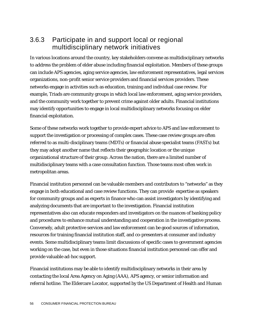## 3.6.3 Participate in and support local or regional multidisciplinary network initiatives

In various locations around the country, key stakeholders convene as multidisciplinary networks to address the problem of elder abuse including financial exploitation. Members of these groups can include APS agencies, aging service agencies, law enforcement representatives, legal services organizations, non-profit senior service providers and financial services providers. These networks engage in activities such as education, training and individual case review. For example, Triads are community groups in which local law enforcement, aging service providers, and the community work together to prevent crime against older adults. Financial institutions may identify opportunities to engage in local multidisciplinary networks focusing on elder financial exploitation.

Some of these networks work together to provide expert advice to APS and law enforcement to support the investigation or processing of complex cases. These case review groups are often referred to as multi-disciplinary teams (MDTs) or financial abuse specialist teams (FASTs) but they may adopt another name that reflects their geographic location or the unique organizational structure of their group. Across the nation, there are a limited number of multidisciplinary teams with a case consultation function. Those teams most often work in metropolitan areas.

Financial institution personnel can be valuable members and contributors to "networks" as they engage in both educational and case review functions. They can provide expertise as speakers for community groups and as experts in finance who can assist investigators by identifying and analyzing documents that are important to the investigation. Financial institution representatives also can educate responders and investigators on the nuances of banking policy and procedures to enhance mutual understanding and cooperation in the investigative process. Conversely, adult protective services and law enforcement can be good sources of information, resources for training financial institution staff, and co-presenters at consumer and industry events. Some multidisciplinary teams limit discussions of specific cases to government agencies working on the case, but even in those situations financial institution personnel can offer and provide valuable ad-hoc support.

Financial institutions may be able to identify multidisciplinary networks in their area by contacting the local Area Agency on Aging (AAA), APS agency, or senior information and referral hotline. The Eldercare Locator, supported by the US Department of Health and Human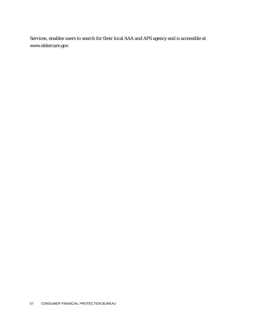Services, enables users to search for their local AAA and APS agency and is accessible at [www.eldercare.gov.](http://www.eldercare.gov/)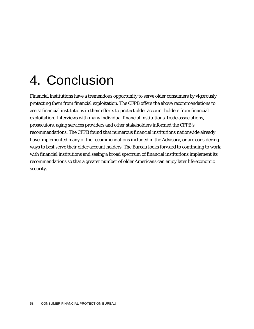# <span id="page-58-0"></span>4. Conclusion

Financial institutions have a tremendous opportunity to serve older consumers by vigorously protecting them from financial exploitation. The CFPB offers the above recommendations to assist financial institutions in their efforts to protect older account holders from financial exploitation. Interviews with many individual financial institutions, trade associations, prosecutors, aging services providers and other stakeholders informed the CFPB's recommendations. The CFPB found that numerous financial institutions nationwide already have implemented many of the recommendations included in the Advisory, or are considering ways to best serve their older account holders. The Bureau looks forward to continuing to work with financial institutions and seeing a broad spectrum of financial institutions implement its recommendations so that a greater number of older Americans can enjoy later life economic security.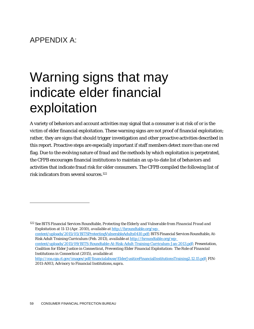## APPENDIX A:

# <span id="page-59-0"></span>Warning signs that may indicate elder financial exploitation

A variety of behaviors and account activities may signal that a consumer is at risk of or is the victim of elder financial exploitation. These warning signs are not proof of financial exploitation; rather, they are signs that should trigger investigation and other proactive activities described in this report. Proactive steps are especially important if staff members detect more than one red flag. Due to the evolving nature of fraud and the methods by which exploitation is perpetrated, the CFPB encourages financial institutions to maintain an up-to-date list of behaviors and activities that indicate fraud risk for older consumers. The CFPB compiled the following list of risk indicators from several sources[.122](#page-59-1)

<span id="page-59-1"></span><sup>122</sup> *See* BITS Financial Services Roundtable, *Protecting the Elderly and Vulnerable from Financial Fraud and Exploitation* at 11-13 (Apr. 2010), *available at* [http://fsroundtable.org/wp](http://fsroundtable.org/wp-content/uploads/2015/05/BITSProtectingVulnerableAdults0410.pdf)[content/uploads/2015/05/BITSProtectingVulnerableAdults0410.pdf;](http://fsroundtable.org/wp-content/uploads/2015/05/BITSProtectingVulnerableAdults0410.pdf) BITS Financial Services Roundtable, At-Risk Adult Training Curriculum (Feb. 2013), *available at* [http://fsroundtable.org/wp](http://fsroundtable.org/wp-content/uploads/2015/09/BITS-Roundtable-At-Risk-Adult-Training-Curriculum-Jan-2013.pdf)[content/uploads/2015/09/BITS-Roundtable-At-Risk-Adult-Training-Curriculum-Jan-2013.pdf;](http://fsroundtable.org/wp-content/uploads/2015/09/BITS-Roundtable-At-Risk-Adult-Training-Curriculum-Jan-2013.pdf) Presentation, Coalition for Elder Justice in Connecticut, *Preventing Elder Financial Exploitation: The Role of Financial Institutions in Connecticut* (2015), *available at*  [http://coa.cga.ct.gov/images/pdf/financialabuse/ElderJusiticeFinancialInstitutionsTraining2.12.15.pdf;](http://coa.cga.ct.gov/images/pdf/financialabuse/ElderJusiticeFinancialInstitutionsTraining2.12.15.pdf) FIN-2011-A003, *Advisory to Financial Institutions*, *supra*.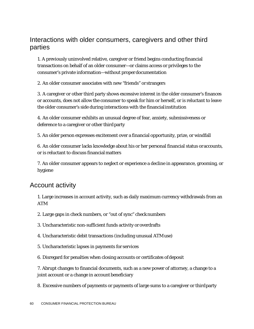#### Interactions with older consumers, caregivers and other third parties

1. A previously uninvolved relative, caregiver or friend begins conducting financial transactions on behalf of an older consumer—or claims access or privileges to the consumer's private information—without properdocumentation

2. An older consumer associates with new "friends" or strangers

3. A caregiver or other third party shows excessive interest in the older consumer's finances or accounts, does not allow the consumer to speak for him or herself, or is reluctant to leave the older consumer's side during interactions with the financialinstitution

4. An older consumer exhibits an unusual degree of fear, anxiety, submissiveness or deference to a caregiver or other third party

5. An older person expresses excitement over a financial opportunity, prize, or windfall

6. An older consumer lacks knowledge about his or her personal financial status oraccounts, or is reluctant to discuss financial matters

7. An older consumer appears to neglect or experience a decline in appearance, grooming, or hygiene

#### Account activity

1. Large increases in account activity, such as daily maximum currency withdrawals from an ATM

2. Large gaps in check numbers, or "out of sync" checknumbers

3. Uncharacteristic non-sufficient funds activity oroverdrafts

4. Uncharacteristic debit transactions (including unusual ATMuse)

- 5. Uncharacteristic lapses in payments for services
- 6. Disregard for penalties when closing accounts or certificates ofdeposit

7. Abrupt changes to financial documents, such as a new power of attorney, a change to a joint account or a change in account beneficiary

8. Excessive numbers of payments or payments of large sums to a caregiver or thirdparty